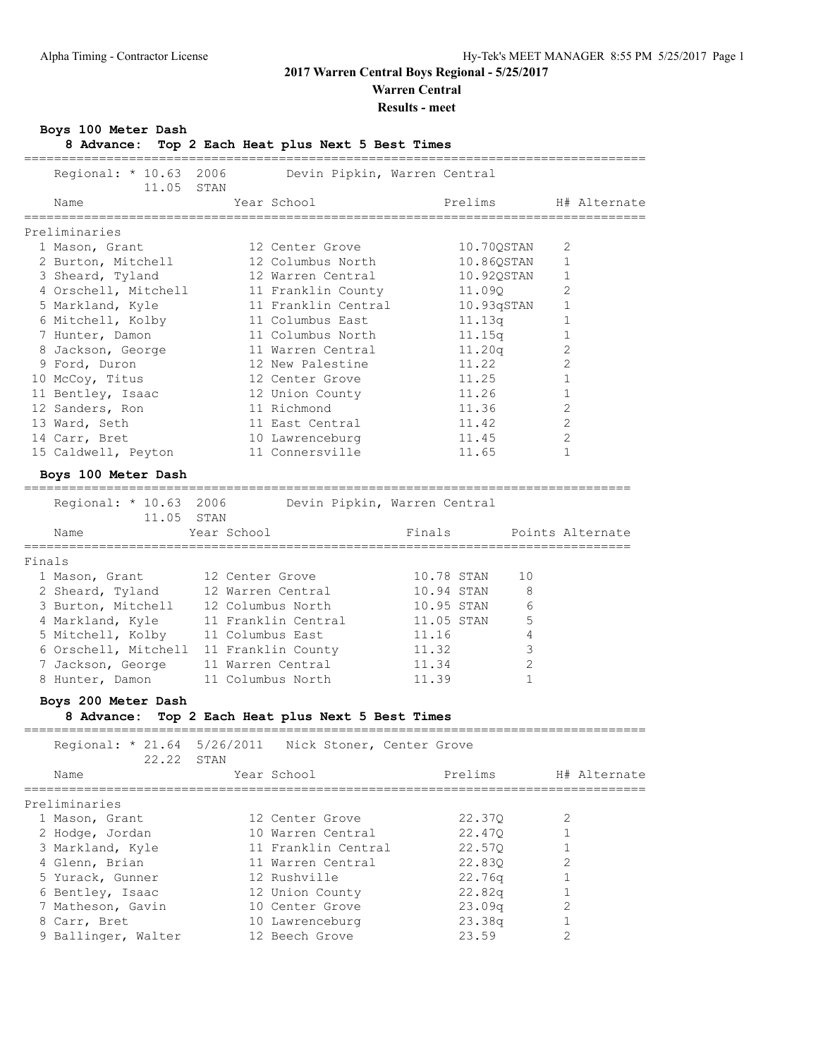**Warren Central**

### **Results - meet**

### **Boys 100 Meter Dash**

### **8 Advance: Top 2 Each Heat plus Next 5 Best Times**

Regional: \* 10.63 2006 Devin Pipkin, Warren Central

===================================================================================

|        | 11.05                                                 | STAN             |                                        |            |            |              |                |                  |
|--------|-------------------------------------------------------|------------------|----------------------------------------|------------|------------|--------------|----------------|------------------|
|        | Name                                                  |                  | Year School                            |            | Prelims    |              |                | H# Alternate     |
|        | Preliminaries                                         |                  |                                        |            |            |              |                |                  |
|        | 1 Mason, Grant                                        |                  | 12 Center Grove                        |            | 10.70QSTAN |              | 2              |                  |
|        | 2 Burton, Mitchell                                    |                  | 12 Columbus North                      |            | 10.86QSTAN |              | $\mathbf{1}$   |                  |
|        | 3 Sheard, Tyland                                      |                  | 12 Warren Central                      |            | 10.920STAN |              | 1              |                  |
|        | 4 Orschell, Mitchell                                  |                  | 11 Franklin County                     |            | 11.09Q     |              | 2              |                  |
|        | 5 Markland, Kyle                                      |                  | 11 Franklin Central                    |            | 10.93qSTAN |              | 1              |                  |
|        | 6 Mitchell, Kolby                                     |                  | 11 Columbus East                       |            | 11.13q     |              | 1              |                  |
|        | 7 Hunter, Damon                                       |                  | 11 Columbus North                      |            | 11.15q     |              | 1              |                  |
|        | 8 Jackson, George                                     |                  | 11 Warren Central                      |            | 11.20q     |              | 2              |                  |
|        | 9 Ford, Duron                                         |                  | 12 New Palestine                       |            | 11.22      |              | 2              |                  |
|        |                                                       |                  | 12 Center Grove                        |            | 11.25      |              | $\mathbf{1}$   |                  |
|        | 10 McCoy, Titus                                       |                  |                                        |            |            |              |                |                  |
|        | 11 Bentley, Isaac                                     |                  | 12 Union County                        |            | 11.26      |              | 1              |                  |
|        | 12 Sanders, Ron                                       |                  | 11 Richmond                            |            | 11.36      |              | 2              |                  |
|        | 13 Ward, Seth                                         |                  | 11 East Central                        |            | 11.42      |              | 2              |                  |
|        | 14 Carr, Bret                                         |                  | 10 Lawrenceburg                        |            | 11.45      |              | 2              |                  |
|        | 15 Caldwell, Peyton                                   |                  | 11 Connersville                        |            | 11.65      |              | $\mathbf{1}$   |                  |
|        | Boys 100 Meter Dash                                   |                  |                                        |            |            |              |                |                  |
|        | Regional: * 10.63 2006                                |                  | Devin Pipkin, Warren Central           |            |            |              |                |                  |
|        | 11.05 STAN                                            |                  |                                        |            |            |              |                |                  |
|        | Name                                                  | Year School      |                                        | Finals     |            |              |                | Points Alternate |
|        | ======================================                |                  |                                        |            |            |              |                |                  |
| Finals |                                                       |                  |                                        |            |            |              |                |                  |
|        | 1 Mason, Grant                                        | 12 Center Grove  |                                        | 10.78 STAN |            | 10           |                |                  |
|        | 2 Sheard, Tyland                                      |                  | 12 Warren Central                      | 10.94 STAN |            | 8            |                |                  |
|        | 3 Burton, Mitchell                                    |                  | 12 Columbus North                      | 10.95 STAN |            | 6            |                |                  |
|        | 4 Markland, Kyle                                      |                  | 11 Franklin Central                    | 11.05 STAN |            | 5            |                |                  |
|        | 5 Mitchell, Kolby                                     | 11 Columbus East |                                        | 11.16      |            | 4            |                |                  |
|        | 6 Orschell, Mitchell                                  |                  | 11 Franklin County                     | 11.32      |            | 3            |                |                  |
|        | 7 Jackson, George                                     |                  | 11 Warren Central                      | 11.34      |            | 2            |                |                  |
|        | 8 Hunter, Damon                                       |                  | 11 Columbus North                      | 11.39      |            | $\mathbf{1}$ |                |                  |
|        |                                                       |                  |                                        |            |            |              |                |                  |
|        | Boys 200 Meter Dash<br>8 Advance:                     |                  | Top 2 Each Heat plus Next 5 Best Times |            |            |              |                |                  |
|        |                                                       |                  |                                        |            |            |              |                |                  |
|        | Regional: * 21.64 5/26/2011 Nick Stoner, Center Grove |                  |                                        |            |            |              |                |                  |
|        | 22.22                                                 | STAN             |                                        |            |            |              |                |                  |
|        | Name                                                  |                  | Year School                            |            | Prelims    |              |                | H# Alternate     |
|        | Preliminaries                                         |                  |                                        |            |            |              |                |                  |
|        | 1 Mason, Grant                                        |                  | 12 Center Grove                        |            | 22.37Q     |              | 2              |                  |
|        | 2 Hodge, Jordan                                       |                  | 10 Warren Central                      |            | 22.47Q     |              | $\mathbf 1$    |                  |
|        | 3 Markland, Kyle                                      |                  | 11 Franklin Central                    |            |            |              | $\mathbf 1$    |                  |
|        |                                                       |                  |                                        |            | 22.57Q     |              |                |                  |
|        | 4 Glenn, Brian                                        |                  | 11 Warren Central                      |            | 22.830     |              | 2              |                  |
|        | 5 Yurack, Gunner                                      |                  | 12 Rushville                           |            | 22.76q     |              | 1              |                  |
|        | 6 Bentley, Isaac                                      |                  | 12 Union County                        |            | 22.82q     |              | 1              |                  |
|        | 7 Matheson, Gavin                                     |                  | 10 Center Grove                        |            | 23.09q     |              | 2              |                  |
|        | 8 Carr, Bret                                          |                  | 10 Lawrenceburg                        |            | 23.38q     |              | 1              |                  |
|        | 9 Ballinger, Walter                                   |                  | 12 Beech Grove                         |            | 23.59      |              | $\overline{2}$ |                  |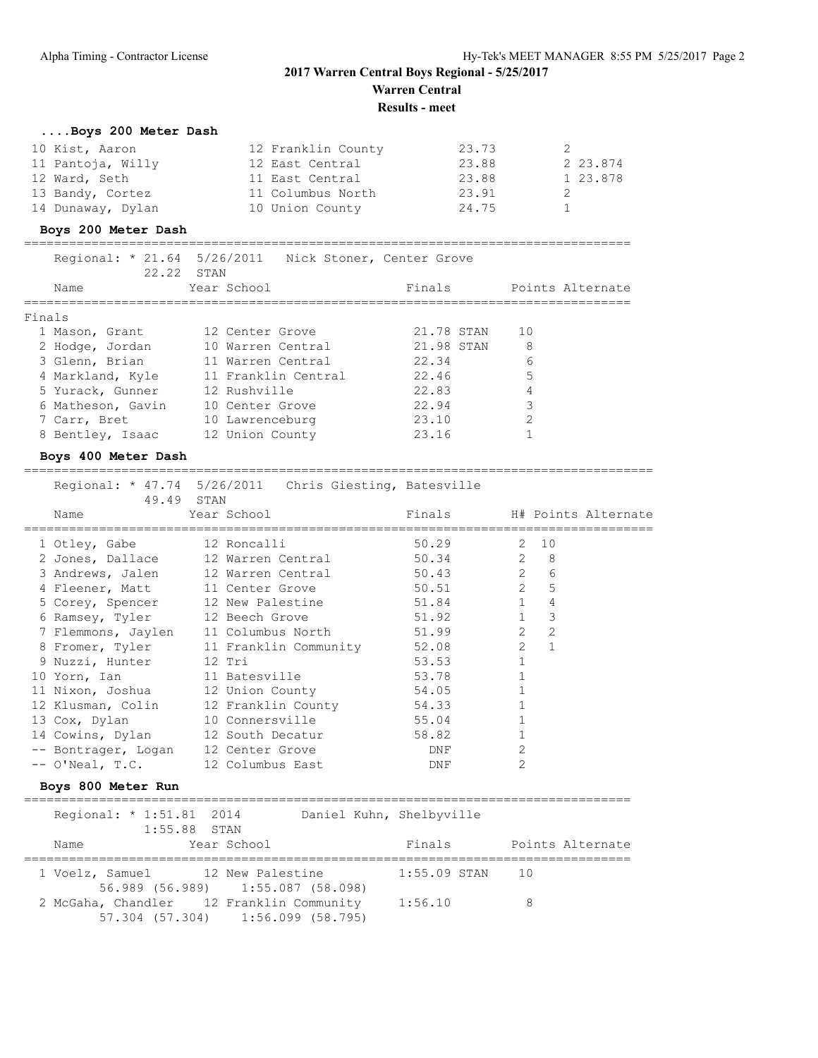### **2017 Warren Central Boys Regional - 5/25/2017 Warren Central**

**Results - meet**

### **....Boys 200 Meter Dash**

| 10 Kist, Aaron    | 12 Franklin County | 23.73 |          |
|-------------------|--------------------|-------|----------|
| 11 Pantoja, Willy | 12 East Central    | 23.88 | 2 23.874 |
| 12 Ward, Seth     | 11 East Central    | 23.88 | 1 23.878 |
| 13 Bandy, Cortez  | 11 Columbus North  | 23.91 |          |
| 14 Dunaway, Dylan | 10 Union County    | 24.75 |          |

### **Boys 200 Meter Dash**

=================================================================================

 Regional: \* 21.64 5/26/2011 Nick Stoner, Center Grove 22.22 STAN<br>Name Year School

| Name              | Year School         | Finals     | Points Alternate |
|-------------------|---------------------|------------|------------------|
| Finals            |                     |            |                  |
| 1 Mason, Grant    | 12 Center Grove     | 21.78 STAN | 10               |
| 2 Hodge, Jordan   | 10 Warren Central   | 21.98 STAN | 8                |
| 3 Glenn, Brian    | 11 Warren Central   | 22.34      | 6                |
| 4 Markland, Kyle  | 11 Franklin Central | 22.46      | 5                |
| 5 Yurack, Gunner  | 12 Rushville        | 22.83      | 4                |
| 6 Matheson, Gavin | 10 Center Grove     | 22.94      | 3                |
| 7 Carr, Bret      | 10 Lawrenceburg     | 23.10      | 2                |
| 8 Bentley, Isaac  | 12 Union County     | 23.16      |                  |

#### **Boys 400 Meter Dash**

==================================================================================== Regional: \* 47.74 5/26/2011 Chris Giesting, Batesville

|                           | 49.49 STAN                            |            |                |                            |
|---------------------------|---------------------------------------|------------|----------------|----------------------------|
| Name                      | Year School                           |            |                | Finals H# Points Alternate |
| 1 Otley, Gabe 12 Roncalli |                                       | 50.29 2 10 |                |                            |
|                           | 2 Jones, Dallace 12 Warren Central    | 50.34 2 8  |                |                            |
|                           | 3 Andrews, Jalen 12 Warren Central    | 50.43 2 6  |                |                            |
|                           | 4 Fleener, Matt 11 Center Grove       | 50.51 2 5  |                |                            |
|                           | 5 Corey, Spencer 12 New Palestine     | 51.84 1    |                | $\overline{4}$             |
|                           | 6 Ramsey, Tyler 12 Beech Grove        | 51.92 1 3  |                |                            |
|                           | 7 Flemmons, Jaylen 11 Columbus North  | 51.99 2    |                | 2                          |
|                           | 8 Fromer, Tyler 11 Franklin Community | 52.08      | $\overline{2}$ | $\overline{1}$             |
| 9 Nuzzi, Hunter 12 Tri    |                                       | 53.53      |                |                            |
|                           | 10 Yorn, Ian 11 Batesville            | 53.78      |                |                            |
|                           | 11 Nixon, Joshua 12 Union County      | 54.05      |                |                            |
|                           | 12 Klusman, Colin 12 Franklin County  | 54.33      |                |                            |
|                           | 13 Cox, Dylan 10 Connersville         | 55.04      |                |                            |
|                           | 14 Cowins, Dylan 12 South Decatur     | 58.82      |                |                            |
|                           | -- Bontrager, Logan 12 Center Grove   | DNF        | $\overline{2}$ |                            |
|                           | -- O'Neal, T.C. 12 Columbus East      | DNF        | 2              |                            |
|                           |                                       |            |                |                            |

#### **Boys 800 Meter Run**

=================================================================================

|      | Regional: * 1:51.81 2014<br>$1:55.88$ STAN                                    | Daniel Kuhn, Shelbyville |                    |                  |
|------|-------------------------------------------------------------------------------|--------------------------|--------------------|------------------|
| Name | Year School                                                                   | Finals                   |                    | Points Alternate |
|      | 1 Voelz, Samuel 12 New Palestine<br>56.989 (56.989) 1:55.087 (58.098)         |                          | 1:55.09 STAN<br>10 |                  |
|      | 2 McGaha, Chandler 12 Franklin Community<br>57.304 (57.304) 1:56.099 (58.795) | 1:56.10                  | 8                  |                  |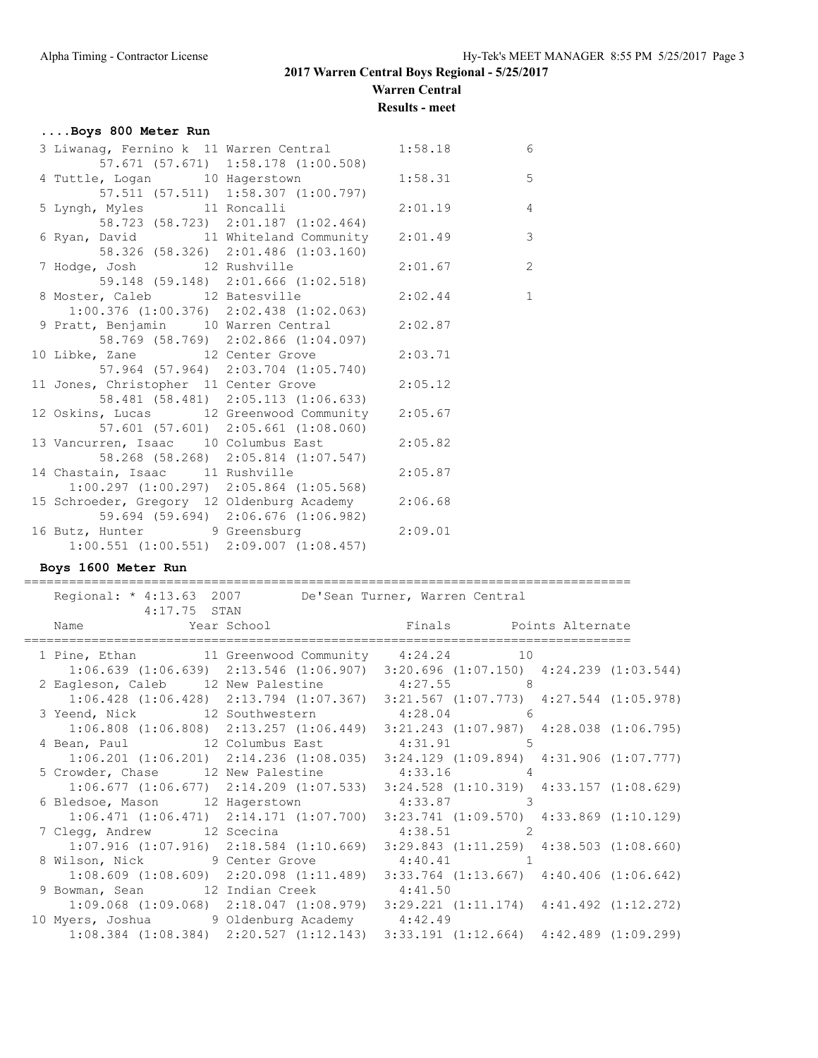**Warren Central**

**Results - meet**

### **....Boys 800 Meter Run**

| 3 Liwanag, Fernino k 11 Warren Central 1:58.18     |                                                 |         | 6              |
|----------------------------------------------------|-------------------------------------------------|---------|----------------|
|                                                    | 57.671 (57.671) 1:58.178 (1:00.508)             |         |                |
| 4 Tuttle, Logan 10 Hagerstown 1:58.31              |                                                 |         | 5              |
|                                                    | 57.511 (57.511) 1:58.307 (1:00.797)             |         |                |
| 5 Lyngh, Myles 11 Roncalli                         |                                                 | 2:01.19 | $\overline{4}$ |
|                                                    | 58.723 (58.723) 2:01.187 (1:02.464)             |         |                |
| 6 Ryan, David 11 Whiteland Community 2:01.49       |                                                 |         | $\overline{3}$ |
|                                                    | 58.326 (58.326) 2:01.486 (1:03.160)             |         |                |
| 7 Hodge, Josh 12 Rushville                         |                                                 | 2:01.67 | $\overline{c}$ |
|                                                    | 59.148 (59.148) 2:01.666 (1:02.518)             |         |                |
| 8 Moster, Caleb 12 Batesville                      |                                                 | 2:02.44 | $\overline{1}$ |
|                                                    | $1:00.376$ $(1:00.376)$ $2:02.438$ $(1:02.063)$ |         |                |
| 9 Pratt, Benjamin 10 Warren Central 2:02.87        |                                                 |         |                |
|                                                    | 58.769 (58.769) 2:02.866 (1:04.097)             |         |                |
| 10 Libke, Zane 12 Center Grove 2:03.71             |                                                 |         |                |
|                                                    | 57.964 (57.964) 2:03.704 (1:05.740)             |         |                |
| 11 Jones, Christopher 11 Center Grove              |                                                 | 2:05.12 |                |
|                                                    | 58.481 (58.481) 2:05.113 (1:06.633)             |         |                |
| 12 Oskins, Lucas 12 Greenwood Community 2:05.67    |                                                 |         |                |
|                                                    | 57.601 (57.601) 2:05.661 (1:08.060)             |         |                |
| 13 Vancurren, Isaac 10 Columbus East 2:05.82       |                                                 |         |                |
|                                                    | 58.268 (58.268) 2:05.814 (1:07.547)             |         |                |
| 14 Chastain, Isaac 11 Rushville                    |                                                 | 2:05.87 |                |
|                                                    | $1:00.297$ $(1:00.297)$ $2:05.864$ $(1:05.568)$ |         |                |
| 15 Schroeder, Gregory 12 Oldenburg Academy 2:06.68 |                                                 |         |                |
|                                                    | 59.694 (59.694) 2:06.676 (1:06.982)             |         |                |
| 16 Butz, Hunter 9 Greensburg 2:09.01               |                                                 |         |                |
| $1:00.551$ $(1:00.551)$ $2:09.007$ $(1:08.457)$    |                                                 |         |                |

#### **Boys 1600 Meter Run**

================================================================================= Regional: \* 4:13.63 2007 De'Sean Turner, Warren Central 4:17.75 STAN Name Year School Finals Points Alternate ================================================================================= 1 Pine, Ethan 11 Greenwood Community 4:24.24 10 1:06.639 (1:06.639) 2:13.546 (1:06.907) 3:20.696 (1:07.150) 4:24.239 (1:03.544) 2 Eagleson, Caleb 12 New Palestine 4:27.55 8 1:06.428 (1:06.428) 2:13.794 (1:07.367) 3:21.567 (1:07.773) 4:27.544 (1:05.978) 3 Yeend, Nick 12 Southwestern 4:28.04 6 1:06.808 (1:06.808) 2:13.257 (1:06.449) 3:21.243 (1:07.987) 4:28.038 (1:06.795) 4 Bean, Paul 12 Columbus East 4:31.91 5 1:06.201 (1:06.201) 2:14.236 (1:08.035) 3:24.129 (1:09.894) 4:31.906 (1:07.777) 5 Crowder, Chase 12 New Palestine 4:33.16 4 1:06.677 (1:06.677) 2:14.209 (1:07.533) 3:24.528 (1:10.319) 4:33.157 (1:08.629) 6 Bledsoe, Mason 12 Hagerstown 4:33.87 3 1:06.471 (1:06.471) 2:14.171 (1:07.700) 3:23.741 (1:09.570) 4:33.869 (1:10.129) 7 Clegg, Andrew 12 Scecina 12 4:38.51 2 1:07.916 (1:07.916) 2:18.584 (1:10.669) 3:29.843 (1:11.259) 4:38.503 (1:08.660) 8 Wilson, Nick 9 Center Grove 4:40.41 1 1:08.609 (1:08.609) 2:20.098 (1:11.489) 3:33.764 (1:13.667) 4:40.406 (1:06.642) 9 Bowman, Sean 12 Indian Creek 4:41.50 1:09.068 (1:09.068) 2:18.047 (1:08.979) 3:29.221 (1:11.174) 4:41.492 (1:12.272) 10 Myers, Joshua 9 Oldenburg Academy 4:42.49 1:08.384 (1:08.384) 2:20.527 (1:12.143) 3:33.191 (1:12.664) 4:42.489 (1:09.299)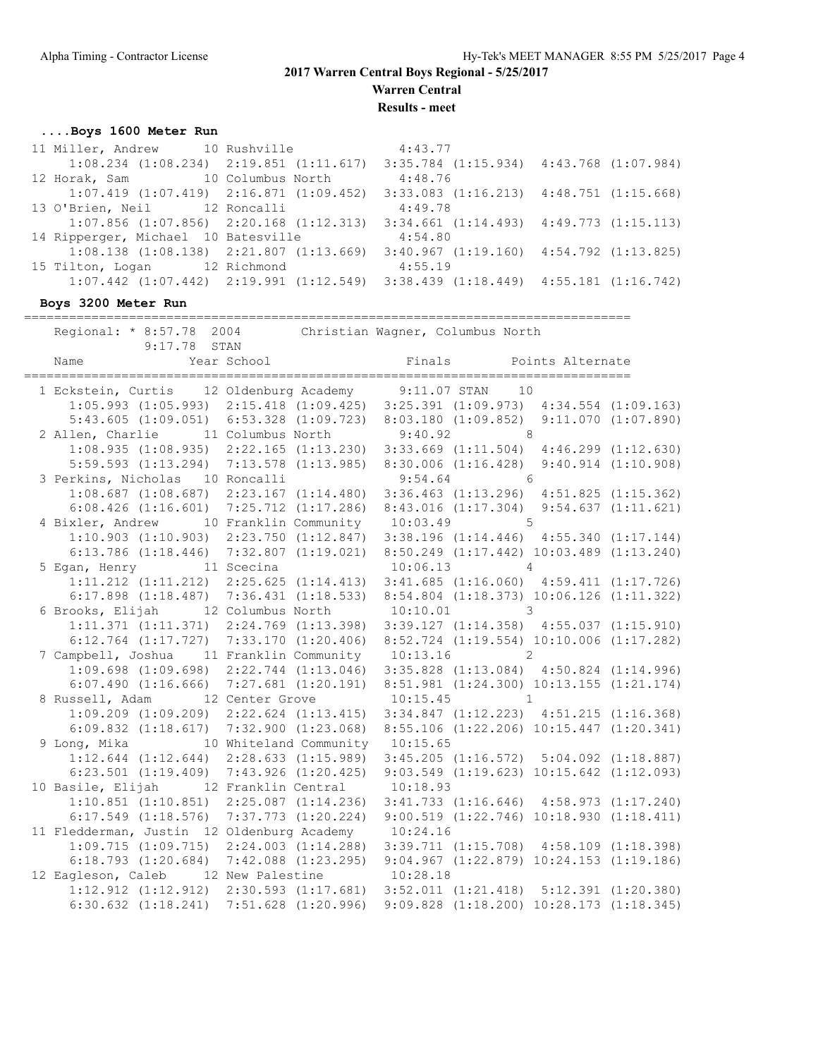**Warren Central**

**Results - meet**

### **....Boys 1600 Meter Run**

| 11 Miller, Andrew 10 Rushville                  |                                                 | 4:43.77                                                                                         |  |
|-------------------------------------------------|-------------------------------------------------|-------------------------------------------------------------------------------------------------|--|
|                                                 | $1:08.234$ $(1:08.234)$ $2:19.851$ $(1:11.617)$ | $3:35.784$ $(1:15.934)$ $4:43.768$ $(1:07.984)$                                                 |  |
| 12 Horak, Sam 10 Columbus North                 |                                                 | 4:48.76                                                                                         |  |
| $1:07.419$ $(1:07.419)$ $2:16.871$ $(1:09.452)$ |                                                 | $3:33.083$ $(1:16.213)$ $4:48.751$ $(1:15.668)$                                                 |  |
| 13 O'Brien, Neil 12 Roncalli                    |                                                 | 4:49.78                                                                                         |  |
| $1:07.856$ $(1:07.856)$ $2:20.168$ $(1:12.313)$ |                                                 | $3:34.661$ $(1:14.493)$ $4:49.773$ $(1:15.113)$                                                 |  |
| 14 Ripperger, Michael 10 Batesville             |                                                 | 4:54.80                                                                                         |  |
| $1:08.138$ $(1:08.138)$ $2:21.807$ $(1:13.669)$ |                                                 | $3:40.967$ $(1:19.160)$ $4:54.792$ $(1:13.825)$                                                 |  |
| 15 Tilton, Logan 12 Richmond                    |                                                 | 4:55.19                                                                                         |  |
|                                                 |                                                 | $1:07.442$ $(1:07.442)$ $2:19.991$ $(1:12.549)$ $3:38.439$ $(1:18.449)$ $4:55.181$ $(1:16.742)$ |  |
|                                                 |                                                 |                                                                                                 |  |

### **Boys 3200 Meter Run**

=================================================================================

 Regional: \* 8:57.78 2004 Christian Wagner, Columbus North 9:17.78 STAN

| Name                                                    |                                                                                                  |              |                                                  |  |
|---------------------------------------------------------|--------------------------------------------------------------------------------------------------|--------------|--------------------------------------------------|--|
| 1 Eckstein, Curtis 12 Oldenburg Academy 9:11.07 STAN 10 |                                                                                                  |              |                                                  |  |
|                                                         | 1:05.993 (1:05.993) 2:15.418 (1:09.425) 3:25.391 (1:09.973) 4:34.554 (1:09.163)                  |              |                                                  |  |
|                                                         | $5:43.605$ $(1:09.051)$ $6:53.328$ $(1:09.723)$                                                  |              | 8:03.180 (1:09.852) 9:11.070 (1:07.890)          |  |
| 2 Allen, Charlie 11 Columbus North 9:40.92 8            |                                                                                                  |              |                                                  |  |
|                                                         | $1:08.935$ (1:08.935) 2:22.165 (1:13.230) 3:33.669 (1:11.504) 4:46.299 (1:12.630)                |              |                                                  |  |
|                                                         | 5:59.593 (1:13.294) 7:13.578 (1:13.985) 8:30.006 (1:16.428) 9:40.914 (1:10.908)                  |              |                                                  |  |
| 3 Perkins, Nicholas 10 Roncalli 5:54.64 6               |                                                                                                  |              |                                                  |  |
|                                                         | 1:08.687 (1:08.687) 2:23.167 (1:14.480) 3:36.463 (1:13.296) 4:51.825 (1:15.362)                  |              |                                                  |  |
|                                                         | $6:08.426$ (1:16.601) 7:25.712 (1:17.286) 8:43.016 (1:17.304) 9:54.637 (1:11.621)                |              |                                                  |  |
| 4 Bixler, Andrew 10 Franklin Community 10:03.49 5       |                                                                                                  |              |                                                  |  |
|                                                         | 1:10.903 (1:10.903) 2:23.750 (1:12.847) 3:38.196 (1:14.446) 4:55.340 (1:17.144)                  |              |                                                  |  |
|                                                         | 6:13.786 (1:18.446) 7:32.807 (1:19.021) 8:50.249 (1:17.442) 10:03.489 (1:13.240)                 |              |                                                  |  |
| 5 Egan, Henry 11 Scecina 10:06.13 4                     |                                                                                                  |              |                                                  |  |
|                                                         | $1:11.212$ $(1:11.212)$ $2:25.625$ $(1:14.413)$ $3:41.685$ $(1:16.060)$ $4:59.411$ $(1:17.726)$  |              |                                                  |  |
|                                                         | 6:17.898 (1:18.487) 7:36.431 (1:18.533) 8:54.804 (1:18.373) 10:06.126 (1:11.322)                 |              |                                                  |  |
| 6 Brooks, Elijah 12 Columbus North                      |                                                                                                  | $10:10.01$ 3 |                                                  |  |
|                                                         | 1:11.371 (1:11.371) 2:24.769 (1:13.398) 3:39.127 (1:14.358) 4:55.037 (1:15.910)                  |              |                                                  |  |
|                                                         | $6:12.764$ $(1:17.727)$ $7:33.170$ $(1:20.406)$ $8:52.724$ $(1:19.554)$ $10:10.006$ $(1:17.282)$ |              |                                                  |  |
| 7 Campbell, Joshua 11 Franklin Community 10:13.16 2     |                                                                                                  |              |                                                  |  |
|                                                         | 1:09.698 (1:09.698) 2:22.744 (1:13.046) 3:35.828 (1:13.084) 4:50.824 (1:14.996)                  |              |                                                  |  |
|                                                         | 6:07.490 (1:16.666) 7:27.681 (1:20.191) 8:51.981 (1:24.300) 10:13.155 (1:21.174)                 |              |                                                  |  |
| 8 Russell, Adam 12 Center Grove 10:15.45 1              |                                                                                                  |              |                                                  |  |
|                                                         | $1:09.209$ $(1:09.209)$ $2:22.624$ $(1:13.415)$ $3:34.847$ $(1:12.223)$ $4:51.215$ $(1:16.368)$  |              |                                                  |  |
| $6:09.832$ $(1:18.617)$ $7:32.900$ $(1:23.068)$         |                                                                                                  |              | 8:55.106 (1:22.206) 10:15.447 (1:20.341)         |  |
| 9 Long, Mika 10 Whiteland Community 10:15.65            |                                                                                                  |              |                                                  |  |
|                                                         | 1:12.644 (1:12.644) 2:28.633 (1:15.989) 3:45.205 (1:16.572) 5:04.092 (1:18.887)                  |              |                                                  |  |
|                                                         | $6:23.501$ $(1:19.409)$ $7:43.926$ $(1:20.425)$                                                  |              | $9:03.549$ $(1:19.623)$ $10:15.642$ $(1:12.093)$ |  |
| 10 Basile, Elijah 12 Franklin Central 10:18.93          |                                                                                                  |              |                                                  |  |
|                                                         | $1:10.851$ (1:10.851) $2:25.087$ (1:14.236) $3:41.733$ (1:16.646) $4:58.973$ (1:17.240)          |              |                                                  |  |
|                                                         | 6:17.549 (1:18.576) 7:37.773 (1:20.224) 9:00.519 (1:22.746) 10:18.930 (1:18.411)                 |              |                                                  |  |
| 11 Fledderman, Justin 12 Oldenburg Academy 10:24.16     |                                                                                                  |              |                                                  |  |
|                                                         | $1:09.715$ $(1:09.715)$ $2:24.003$ $(1:14.288)$ $3:39.711$ $(1:15.708)$ $4:58.109$ $(1:18.398)$  |              |                                                  |  |
|                                                         | 6:18.793 (1:20.684) 7:42.088 (1:23.295) 9:04.967 (1:22.879) 10:24.153 (1:19.186)                 |              |                                                  |  |
| 12 Eagleson, Caleb 12 New Palestine 10:28.18            |                                                                                                  |              |                                                  |  |
|                                                         | 1:12.912 (1:12.912) 2:30.593 (1:17.681) 3:52.011 (1:21.418) 5:12.391 (1:20.380)                  |              |                                                  |  |
| $6:30.632$ $(1:18.241)$ $7:51.628$ $(1:20.996)$         |                                                                                                  |              | $9:09.828$ $(1:18.200)$ $10:28.173$ $(1:18.345)$ |  |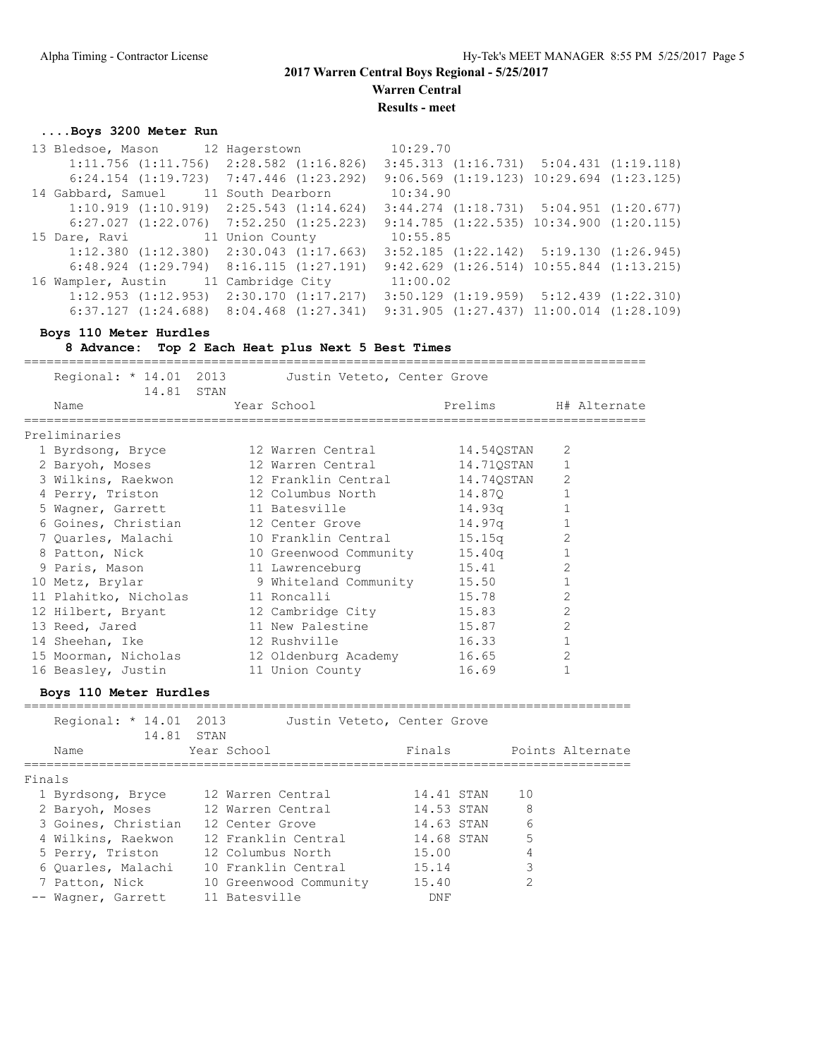**Warren Central**

**Results - meet**

### **....Boys 3200 Meter Run**

|  | 15 Dare, Ravi | 13 Bledsoe, Mason 12 Hagerstown<br>$1:11.756$ $(1:11.756)$ $2:28.582$ $(1:16.826)$<br>$6:24.154$ $(1:19.723)$ $7:47.446$ $(1:23.292)$<br>14 Gabbard, Samuel 11 South Dearborn<br>$1:10.919$ $(1:10.919)$ $2:25.543$ $(1:14.624)$<br>$6:27.027$ $(1:22.076)$ $7:52.250$ $(1:25.223)$<br>11 Union County<br>$1:12.380$ $(1:12.380)$ $2:30.043$ $(1:17.663)$<br>$6:48.924$ $(1:29.794)$ $8:16.115$ $(1:27.191)$<br>16 Wampler, Austin 11 Cambridge City<br>$1:12.953$ $(1:12.953)$ $2:30.170$ $(1:17.217)$ | 10:29.70<br>10:34.90<br>10:55.85<br>11:00.02 | $3:45.313$ $(1:16.731)$ $5:04.431$ $(1:19.118)$<br>$9:06.569$ $(1:19.123)$ $10:29.694$ $(1:23.125)$<br>$3:44.274$ $(1:18.731)$ $5:04.951$ $(1:20.677)$<br>$9:14.785$ $(1:22.535)$ $10:34.900$ $(1:20.115)$<br>$3:52.185$ $(1:22.142)$ $5:19.130$ $(1:26.945)$<br>$9:42.629$ $(1:26.514)$ $10:55.844$ $(1:13.215)$<br>$3:50.129$ $(1:19.959)$ $5:12.439$ $(1:22.310)$ |
|--|---------------|---------------------------------------------------------------------------------------------------------------------------------------------------------------------------------------------------------------------------------------------------------------------------------------------------------------------------------------------------------------------------------------------------------------------------------------------------------------------------------------------------------|----------------------------------------------|----------------------------------------------------------------------------------------------------------------------------------------------------------------------------------------------------------------------------------------------------------------------------------------------------------------------------------------------------------------------|

### **Boys 110 Meter Hurdles**

**8 Advance: Top 2 Each Heat plus Next 5 Best Times**

| Regional: * 14.01 2013 Justin Veteto, Center Grove<br>14.81 STAN |                                                     |            |                      |
|------------------------------------------------------------------|-----------------------------------------------------|------------|----------------------|
| Name<br>=======================                                  | Year School in the School and the School and School |            | Prelims H# Alternate |
| Preliminaries                                                    |                                                     |            |                      |
| 1 Byrdsong, Bryce 12 Warren Central                              |                                                     | 14.54QSTAN | 2                    |
| 2 Baryoh, Moses 12 Warren Central                                |                                                     | 14.71QSTAN | $\mathbf{1}$         |
| 3 Wilkins, Raekwon             12 Franklin Central               |                                                     | 14.74QSTAN | 2                    |
| 4 Perry, Triston 12 Columbus North                               |                                                     | 14.870     | $\mathbf{1}$         |
| 5 Wagner, Garrett 11 Batesville                                  |                                                     | 14.93q     |                      |
| 6 Goines, Christian 12 Center Grove                              |                                                     | 14.97q     | $\mathbf{1}$         |
| 7 Quarles, Malachi (10 Franklin Central                          |                                                     | 15.15q     | 2                    |
| 8 Patton, Nick 10 Greenwood Community                            |                                                     | 15.40q     | $\mathbf{1}$         |
| 9 Paris, Mason 11 Lawrenceburg                                   |                                                     | 15.41      | 2                    |
| 10 Metz, Brylar                                                  | 9 Whiteland Community                               | 15.50      |                      |
| 11 Plahitko, Nicholas 11 Roncalli                                |                                                     | 15.78      | $\overline{2}$       |
| 12 Hilbert, Bryant                                               | 12 Cambridge City                                   | 15.83      | 2                    |
| 13 Reed, Jared 11 New Palestine                                  |                                                     | 15.87      | $\overline{2}$       |
| 14 Sheehan, Ike 12 Rushville                                     |                                                     | 16.33      | $\mathbf 1$          |
| 15 Moorman, Nicholas 12 Oldenburg Academy                        |                                                     | 16.65      | 2                    |
| 16 Beasley, Justin 11 Union County                               |                                                     | 16.69      |                      |
|                                                                  |                                                     |            |                      |

### **Boys 110 Meter Hurdles**

|        | Regional: $* 14.01$<br>14.81 STAN | 2013<br>Justin Veteto, Center Grove |            |                  |
|--------|-----------------------------------|-------------------------------------|------------|------------------|
|        | Name                              | Year School                         | Finals     | Points Alternate |
| Finals |                                   |                                     |            |                  |
|        | 1 Byrdsong, Bryce                 | 12 Warren Central                   | 14.41 STAN | 1 O              |
|        | 2 Baryoh, Moses                   | 12 Warren Central                   | 14.53 STAN | 8                |
|        | 3 Goines, Christian               | 12 Center Grove                     | 14.63 STAN | 6                |
|        | 4 Wilkins, Raekwon                | 12 Franklin Central                 | 14.68 STAN | 5                |
|        | 5 Perry, Triston                  | 12 Columbus North                   | 15.00      |                  |
|        | 6 Ouarles, Malachi                | 10 Franklin Central                 | 15.14      | 3                |
|        | 7 Patton, Nick                    | 10 Greenwood Community              | 15.40      | $\mathfrak{D}$   |
|        | -- Wagner, Garrett                | 11 Batesville                       | <b>DNF</b> |                  |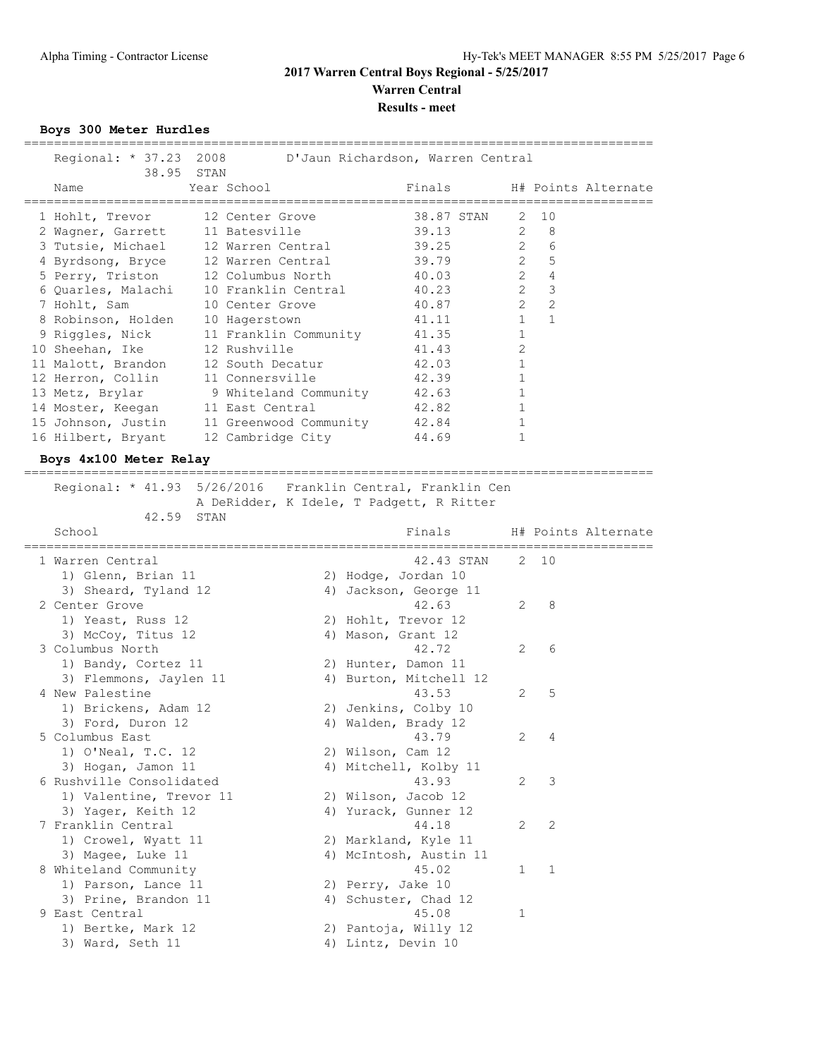### **2017 Warren Central Boys Regional - 5/25/2017 Warren Central Results - meet**

**Boys 300 Meter Hurdles**

| Regional: * 37.23 2008                    | 38.95 STAN          |                       | D'Jaun Richardson, Warren Central              |              |                    |                     |
|-------------------------------------------|---------------------|-----------------------|------------------------------------------------|--------------|--------------------|---------------------|
| Name                                      | Year School         |                       | Finals                                         |              |                    | H# Points Alternate |
| 1 Hohlt, Trevor                           | 12 Center Grove     |                       | 38.87 STAN                                     |              | $2 \t10$           |                     |
| 2 Wagner, Garrett 11 Batesville           |                     |                       | 39.13                                          |              | $2^{\circ}$<br>- 8 |                     |
| 3 Tutsie, Michael                         | 12 Warren Central   |                       | 39.25                                          |              | $2^{\circ}$<br>6   |                     |
| 4 Byrdsong, Bryce 12 Warren Central       |                     |                       | 39.79                                          | $2^{\circ}$  | 5                  |                     |
| 5 Perry, Triston 12 Columbus North        |                     |                       | 40.03                                          | $2^{\circ}$  | $\overline{4}$     |                     |
| 6 Quarles, Malachi                        | 10 Franklin Central |                       | 40.23                                          | $2^{\circ}$  | $\mathcal{S}$      |                     |
| 7 Hohlt, Sam                              | 10 Center Grove     |                       | 40.87                                          | $\mathbf{2}$ | $\overline{2}$     |                     |
| 8 Robinson, Holden 10 Hagerstown          |                     |                       | 41.11                                          | $1 \quad$    | $\mathbf{1}$       |                     |
| 9 Riggles, Nick                           |                     | 11 Franklin Community | 41.35                                          | 1            |                    |                     |
| 10 Sheehan, Ike                           | 12 Rushville        |                       | 41.43                                          | 2            |                    |                     |
| 11 Malott, Brandon                        | 12 South Decatur    |                       | 42.03                                          | $\mathbf{1}$ |                    |                     |
| 12 Herron, Collin                         | 11 Connersville     |                       | 42.39                                          | $\mathbf 1$  |                    |                     |
| 13 Metz, Brylar                           |                     | 9 Whiteland Community | 42.63                                          | 1            |                    |                     |
| 14 Moster, Keegan 11 East Central         |                     |                       | 42.82                                          | 1            |                    |                     |
| 15 Johnson, Justin 11 Greenwood Community |                     |                       | 42.84                                          | 1            |                    |                     |
| 16 Hilbert, Bryant                        |                     | 12 Cambridge City     | 44.69                                          | 1            |                    |                     |
|                                           |                     |                       |                                                |              |                    |                     |
| Boys 4x100 Meter Relay                    |                     |                       |                                                |              |                    |                     |
| 42.59 STAN                                |                     |                       | A DeRidder, K Idele, T Padgett, R Ritter       |              |                    |                     |
| School                                    |                     |                       | Finals                                         |              |                    | H# Points Alternate |
|                                           |                     |                       |                                                |              |                    |                     |
| 1 Warren Central                          |                     |                       | 42.43 STAN                                     |              | 2 10               |                     |
| 1) Glenn, Brian 11                        |                     |                       | 2) Hodge, Jordan 10                            |              |                    |                     |
| 3) Sheard, Tyland 12                      |                     |                       | 4) Jackson, George 11                          |              |                    |                     |
| 2 Center Grove                            |                     |                       | 42.63                                          |              | $2^{\circ}$<br>8   |                     |
| 1) Yeast, Russ 12                         |                     |                       | 2) Hohlt, Trevor 12                            |              |                    |                     |
| 3) McCoy, Titus 12                        |                     |                       | 4) Mason, Grant 12                             |              |                    |                     |
| 3 Columbus North                          |                     |                       | 42.72                                          | 2            | 6                  |                     |
| 1) Bandy, Cortez 11                       |                     |                       | 2) Hunter, Damon 11                            |              |                    |                     |
| 3) Flemmons, Jaylen 11                    |                     |                       | 4) Burton, Mitchell 12                         |              |                    |                     |
| 4 New Palestine                           |                     |                       | 43.53                                          | 2            | 5                  |                     |
| 1) Brickens, Adam 12                      |                     |                       | 2) Jenkins, Colby 10                           |              |                    |                     |
| 3) Ford, Duron 12                         |                     |                       | 4) Walden, Brady 12                            |              |                    |                     |
| 5 Columbus East                           |                     |                       | 43.79                                          | 2            | 4                  |                     |
| 1) O'Neal, T.C. 12                        |                     | 2) Wilson, Cam 12     |                                                |              |                    |                     |
| 3) Hogan, Jamon 11                        |                     |                       | 4) Mitchell, Kolby 11                          |              |                    |                     |
| 6 Rushville Consolidated                  |                     |                       | 43.93                                          | 2            | 3                  |                     |
| 1) Valentine, Trevor 11                   |                     |                       | 2) Wilson, Jacob 12                            |              |                    |                     |
| 3) Yager, Keith 12                        |                     |                       | 4) Yurack, Gunner 12                           |              |                    |                     |
| 7 Franklin Central                        |                     |                       | 44.18                                          | 2            | $\mathbf{2}$       |                     |
| 1) Crowel, Wyatt 11<br>3) Magee, Luke 11  |                     |                       | 2) Markland, Kyle 11<br>4) McIntosh, Austin 11 |              |                    |                     |

1) Parson, Lance 11 2) Perry, Jake 10 3) Prine, Brandon 11 (4) Schuster, Chad 12

1) Bertke, Mark 12 2) Pantoja, Willy 12 3) Ward, Seth 11 4) Lintz, Devin 10

9 East Central 2020 12:00 12:00 12:00 12:00 12:00 12:00 12:00 12:00 12:00 12:00 1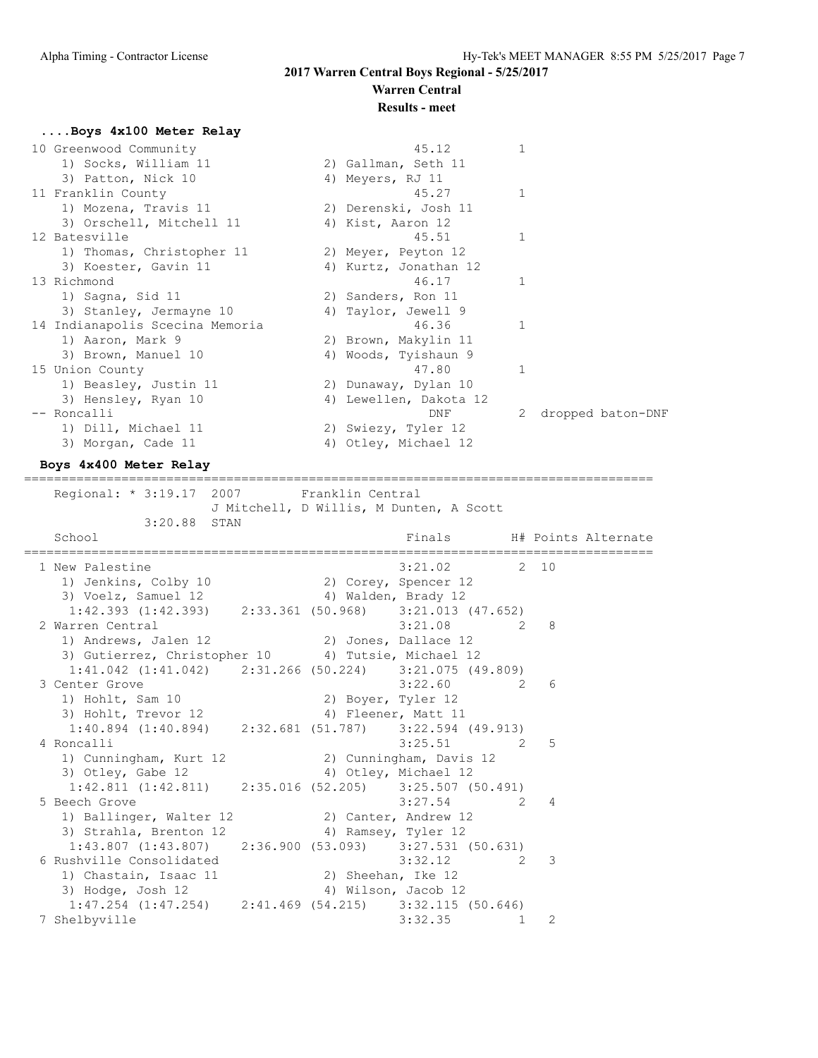# **Warren Central**

### **Results - meet**

### **....Boys 4x100 Meter Relay**

| 10 Greenwood Community          | 45.12                  | $\mathbf{1}$ |                   |
|---------------------------------|------------------------|--------------|-------------------|
| 1) Socks, William 11            | 2) Gallman, Seth 11    |              |                   |
| 3) Patton, Nick 10              | 4) Meyers, RJ 11       |              |                   |
| 11 Franklin County              | 45.27                  | 1            |                   |
| 1) Mozena, Travis 11            | 2) Derenski, Josh 11   |              |                   |
| 3) Orschell, Mitchell 11        | 4) Kist, Aaron 12      |              |                   |
| 12 Batesville                   | 45.51                  | $\mathbf{1}$ |                   |
| 1) Thomas, Christopher 11       | 2) Meyer, Peyton 12    |              |                   |
| 3) Koester, Gavin 11            | 4) Kurtz, Jonathan 12  |              |                   |
| 13 Richmond                     | 46.17                  | 1            |                   |
| 1) Sagna, Sid 11                | 2) Sanders, Ron 11     |              |                   |
| 3) Stanley, Jermayne 10         | 4) Taylor, Jewell 9    |              |                   |
| 14 Indianapolis Scecina Memoria | 46.36                  | 1            |                   |
| 1) Aaron, Mark 9                | 2) Brown, Makylin 11   |              |                   |
| 3) Brown, Manuel 10             | 4) Woods, Tyishaun 9   |              |                   |
| 15 Union County                 | 47.80                  | $\mathbf{1}$ |                   |
| 1) Beasley, Justin 11           | 2) Dunaway, Dylan 10   |              |                   |
| 3) Hensley, Ryan 10             | 4) Lewellen, Dakota 12 |              |                   |
| -- Roncalli                     | DNF                    |              | dropped baton-DNF |
| 1) Dill, Michael 11             | 2) Swiezy, Tyler 12    |              |                   |
| 3) Morgan, Cade 11              | 4) Otley, Michael 12   |              |                   |
|                                 |                        |              |                   |

#### **Boys 4x400 Meter Relay**

====================================================================================

Regional: \* 3:19.17 2007 Franklin Central J Mitchell, D Willis, M Dunten, A Scott 3:20.88 STAN School **Finals** H# Points Alternate ==================================================================================== 1 New Palestine 3:21.02 2 10 1) Jenkins, Colby 10 2) Corey, Spencer 12 3) Voelz, Samuel 12 4) Walden, Brady 12 1:42.393 (1:42.393) 2:33.361 (50.968) 3:21.013 (47.652) 2 Warren Central 3:21.08 2 8<br>1) Andrews, Jalen 12 2 3 3:21.08 2 8 1) Andrews, Jalen 12 2) Jones, Dallace 12 3) Gutierrez, Christopher 10 4) Tutsie, Michael 12 1:41.042 (1:41.042) 2:31.266 (50.224) 3:21.075 (49.809) 3 Center Grove 3:22.60 2 6<br>1) Hohlt, Sam 10 2) Boyer, Tyler 12 1) Hohlt, Sam 10 2) Boyer, Tyler 12 3) Hohlt, Trevor 12 (4) Fleener, Matt 11 1:40.894 (1:40.894) 2:32.681 (51.787) 3:22.594 (49.913) 4 Roncalli 3:25.51 2 5 1) Cunningham, Kurt 12 2) Cunningham, Davis 12<br>3) Otley, Gabe 12 4) Otley, Michael 12 3) Otley, Gabe 12 4) Otley, Michael 12 1:42.811 (1:42.811) 2:35.016 (52.205) 3:25.507 (50.491) 5 Beech Grove 3:27.54 2 4 1) Ballinger, Walter 12 2) Canter, Andrew 12 3) Strahla, Brenton 12 4) Ramsey, Tyler 12 1:43.807 (1:43.807) 2:36.900 (53.093) 3:27.531 (50.631)<br>
ushville Consolidated 3:32.12 2 3 6 Rushville Consolidated 3:32.12 2 3 1) Chastain, Isaac 11 2) Sheehan, Ike 12 3) Hodge, Josh 12 4) Wilson, Jacob 12 1:47.254 (1:47.254) 2:41.469 (54.215) 3:32.115 (50.646) 7 Shelbyville 3:32.35 1 2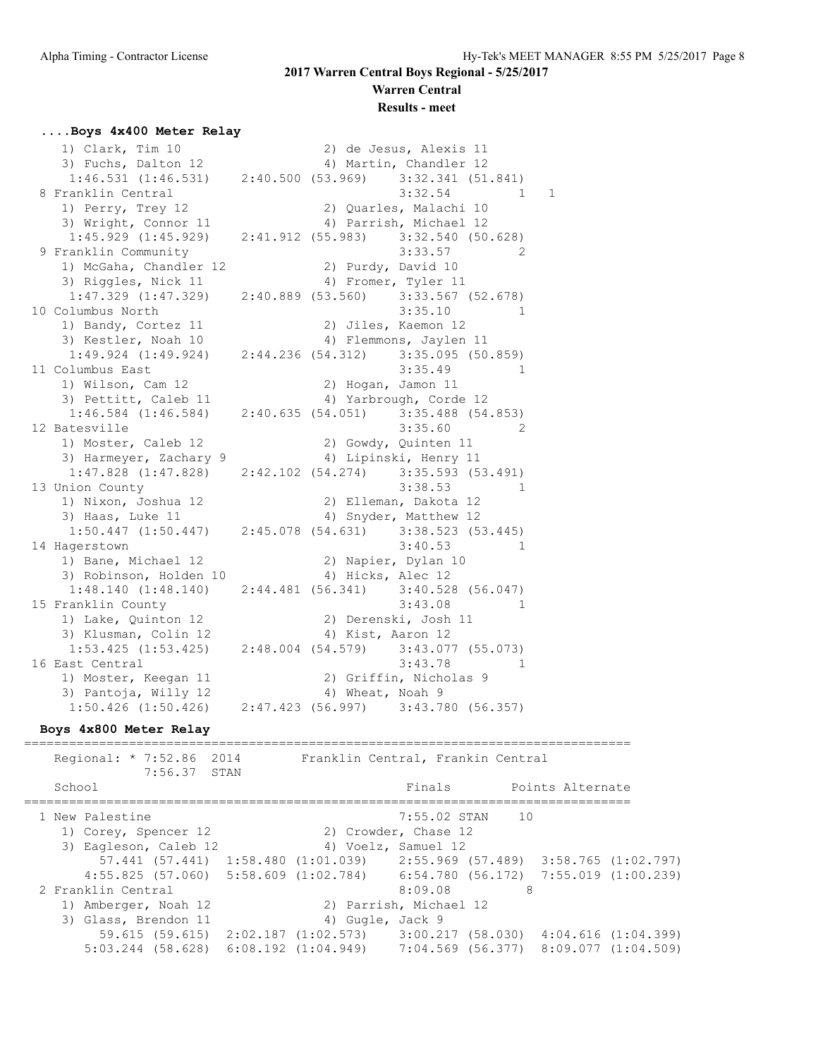# **Warren Central**

### **Results - meet**

### **....Boys 4x400 Meter Relay**

| 1) Clark, Tim 10                                                    |                   |                   | 2) de Jesus, Alexis 11                |              |
|---------------------------------------------------------------------|-------------------|-------------------|---------------------------------------|--------------|
| 3) Fuchs, Dalton 12                                                 |                   |                   | 4) Martin, Chandler 12                |              |
| $1:46.531$ $(1:46.531)$ $2:40.500$ $(53.969)$ $3:32.341$ $(51.841)$ |                   |                   |                                       |              |
| 8 Franklin Central                                                  |                   |                   | 3:32.54                               | 1<br>1       |
| 1) Perry, Trey 12                                                   |                   |                   | 2) Quarles, Malachi 10                |              |
| 3) Wright, Connor 11                                                |                   |                   | 4) Parrish, Michael 12                |              |
| 1:45.929(1:45.929)                                                  |                   |                   | 2:41.912 (55.983) 3:32.540 (50.628)   |              |
| 9 Franklin Community                                                |                   |                   | 3:33.57                               | 2            |
| 1) McGaha, Chandler 12                                              |                   |                   | 2) Purdy, David 10                    |              |
| 3) Riggles, Nick 11                                                 |                   |                   | 4) Fromer, Tyler 11                   |              |
| $1:47.329$ $(1:47.329)$                                             |                   |                   | 2:40.889 (53.560) 3:33.567 (52.678)   |              |
| 10 Columbus North                                                   |                   |                   | 3:35.10                               | 1            |
| 1) Bandy, Cortez 11                                                 |                   | 2)                | Jiles, Kaemon 12                      |              |
| 3) Kestler, Noah 10                                                 |                   |                   | 4) Flemmons, Jaylen 11                |              |
| $1:49.924$ $(1:49.924)$                                             | 2:44.236 (54.312) |                   | $3:35.095$ (50.859)                   |              |
| 11 Columbus East                                                    |                   |                   | 3:35.49                               | 1            |
| 1) Wilson, Cam 12                                                   |                   |                   | 2) Hogan, Jamon 11                    |              |
| 3) Pettitt, Caleb 11                                                |                   |                   | 4) Yarbrough, Corde 12                |              |
| $1:46.584$ $(1:46.584)$                                             | 2:40.635(54.051)  |                   | $3:35.488$ (54.853)                   |              |
| 12 Batesville                                                       |                   |                   | 3:35.60                               | 2            |
| 1) Moster, Caleb 12                                                 |                   |                   | 2) Gowdy, Quinten 11                  |              |
| 3) Harmeyer, Zachary 9                                              |                   |                   | 4) Lipinski, Henry 11                 |              |
| $1:47.828$ $(1:47.828)$                                             |                   |                   | 2:42.102 (54.274) 3:35.593 (53.491)   |              |
| 13 Union County                                                     |                   |                   | 3:38.53                               | $\mathbf{1}$ |
| 1) Nixon, Joshua 12                                                 |                   |                   | 2) Elleman, Dakota 12                 |              |
| 3) Haas, Luke 11                                                    |                   |                   | 4) Snyder, Matthew 12                 |              |
| $1:50.447$ $(1:50.447)$                                             |                   |                   | 2:45.078 (54.631) 3:38.523 (53.445)   |              |
| 14 Hagerstown                                                       |                   |                   | 3:40.53                               | $\mathbf{1}$ |
| 1) Bane, Michael 12                                                 |                   |                   | 2) Napier, Dylan 10                   |              |
| 3) Robinson, Holden 10                                              |                   | 4) Hicks, Alec 12 |                                       |              |
| 1:48.140(1:48.140)                                                  |                   |                   | $2:44.481$ (56.341) 3:40.528 (56.047) |              |
| 15 Franklin County                                                  |                   |                   | 3:43.08                               | $\mathbf{1}$ |
| 1) Lake, Quinton 12                                                 |                   |                   | 2) Derenski, Josh 11                  |              |
| 3) Klusman, Colin 12                                                |                   | 4) Kist, Aaron 12 |                                       |              |
| $1:53.425$ $(1:53.425)$                                             |                   |                   | 2:48.004 (54.579) 3:43.077 (55.073)   |              |
| 16 East Central                                                     |                   |                   | 3:43.78                               | 1            |
| 1) Moster, Keegan 11                                                |                   |                   | 2) Griffin, Nicholas 9                |              |
| 3) Pantoja, Willy 12                                                |                   | 4) Wheat, Noah 9  |                                       |              |
| $1:50.426$ $(1:50.426)$                                             |                   |                   | 2:47.423 (56.997) 3:43.780 (56.357)   |              |
|                                                                     |                   |                   |                                       |              |

### **Boys 4x800 Meter Relay**

================================================================================= Regional: \* 7:52.86 2014 Franklin Central, Frankin Central 7:56.37 STAN School **Finals** Points Alternate ================================================================================= 1 New Palestine 2012 12:55.02 STAN 10 1) Corey, Spencer 12 2) Crowder, Chase 12 3) Eagleson, Caleb 12 (4) Voelz, Samuel 12 57.441 (57.441) 1:58.480 (1:01.039) 2:55.969 (57.489) 3:58.765 (1:02.797) 4:55.825 (57.060) 5:58.609 (1:02.784) 6:54.780 (56.172) 7:55.019 (1:00.239) 2 Franklin Central 8:09.08 8:09.08 1) Amberger, Noah 12 2) Parrish, Michael 12 3) Glass, Brendon 11 (4) Gugle, Jack 9 59.615 (59.615) 2:02.187 (1:02.573) 3:00.217 (58.030) 4:04.616 (1:04.399) 5:03.244 (58.628) 6:08.192 (1:04.949) 7:04.569 (56.377) 8:09.077 (1:04.509)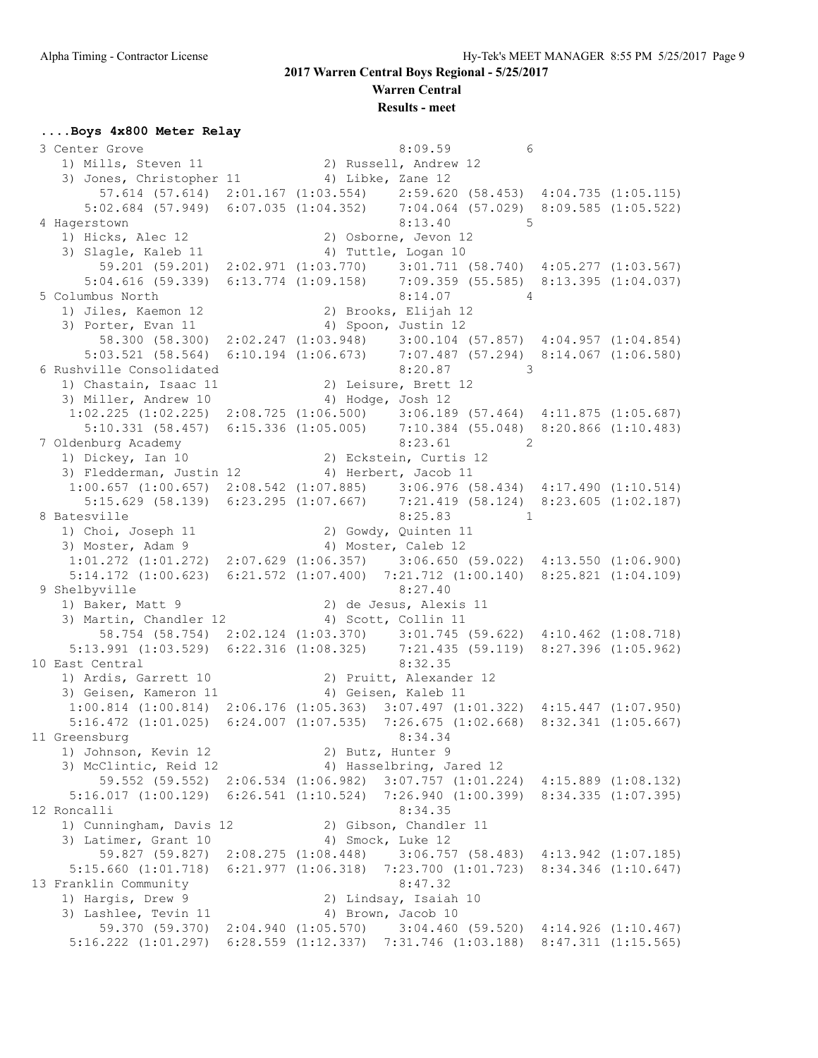**Warren Central**

**Results - meet**

### **....Boys 4x800 Meter Relay**

3 Center Grove 6:09.59 6 1) Mills, Steven 11 2) Russell, Andrew 12 3) Jones, Christopher 11 4) Libke, Zane 12 57.614 (57.614) 2:01.167 (1:03.554) 2:59.620 (58.453) 4:04.735 (1:05.115) 5:02.684 (57.949) 6:07.035 (1:04.352) 7:04.064 (57.029) 8:09.585 (1:05.522) 4 Hagerstown 8:13.40 5 1) Hicks, Alec 12 2) Osborne, Jevon 12 3) Slagle, Kaleb 11 (4) Tuttle, Logan 10 59.201 (59.201) 2:02.971 (1:03.770) 3:01.711 (58.740) 4:05.277 (1:03.567) 5:04.616 (59.339) 6:13.774 (1:09.158) 7:09.359 (55.585) 8:13.395 (1:04.037) 5 Columbus North 8:14.07 4 1) Jiles, Kaemon 12 2) Brooks, Elijah 12 3) Porter, Evan 11 4) Spoon, Justin 12 58.300 (58.300) 2:02.247 (1:03.948) 3:00.104 (57.857) 4:04.957 (1:04.854) 5:03.521 (58.564) 6:10.194 (1:06.673) 7:07.487 (57.294) 8:14.067 (1:06.580) 6 Rushville Consolidated 8:20.87 3 1) Chastain, Isaac 11 2) Leisure, Brett 12 3) Miller, Andrew 10 4) Hodge, Josh 12 1:02.225 (1:02.225) 2:08.725 (1:06.500) 3:06.189 (57.464) 4:11.875 (1:05.687) 5:10.331 (58.457) 6:15.336 (1:05.005) 7:10.384 (55.048) 8:20.866 (1:10.483) 7 Oldenburg Academy 8:23.61 2<br>
1) Dickey, Ian 10 2) Eckstein, Curtis 12 1) Dickey, Ian 10 2) Eckstein, Curtis 12 3) Fledderman, Justin 12 (4) Herbert, Jacob 11 1:00.657 (1:00.657) 2:08.542 (1:07.885) 3:06.976 (58.434) 4:17.490 (1:10.514) 5:15.629 (58.139) 6:23.295 (1:07.667) 7:21.419 (58.124) 8:23.605 (1:02.187) 8 Batesville 8:25.83 1<br>1) Choi, Joseph 11 2) Gowdy, Quinten 11 1) Choi, Joseph 11 2) Gowdy, Quinten 11 3) Moster, Adam 9 4) Moster, Caleb 12 1:01.272 (1:01.272) 2:07.629 (1:06.357) 3:06.650 (59.022) 4:13.550 (1:06.900) 5:14.172 (1:00.623) 6:21.572 (1:07.400) 7:21.712 (1:00.140) 8:25.821 (1:04.109) 9 Shelbyville 8:27.40 1) Baker, Matt 9 2) de Jesus, Alexis 11 3) Martin, Chandler 12 (4) Scott, Collin 11 58.754 (58.754) 2:02.124 (1:03.370) 3:01.745 (59.622) 4:10.462 (1:08.718) 5:13.991 (1:03.529) 6:22.316 (1:08.325) 7:21.435 (59.119) 8:27.396 (1:05.962) 10 East Central 8:32.35 1) Ardis, Garrett 10 2) Pruitt, Alexander 12 3) Geisen, Kameron 11 (and 4) Geisen, Kaleb 11 1:00.814 (1:00.814) 2:06.176 (1:05.363) 3:07.497 (1:01.322) 4:15.447 (1:07.950) 5:16.472 (1:01.025) 6:24.007 (1:07.535) 7:26.675 (1:02.668) 8:32.341 (1:05.667) 11 Greensburg 8:34.34 1) Johnson, Kevin 12 2) Butz, Hunter 9 3) McClintic, Reid 12 4) Hasselbring, Jared 12 59.552 (59.552) 2:06.534 (1:06.982) 3:07.757 (1:01.224) 4:15.889 (1:08.132) 5:16.017 (1:00.129) 6:26.541 (1:10.524) 7:26.940 (1:00.399) 8:34.335 (1:07.395) 12 Roncalli 8:34.35 1) Cunningham, Davis 12 2) Gibson, Chandler 11 3) Latimer, Grant 10 4) Smock, Luke 12 59.827 (59.827) 2:08.275 (1:08.448) 3:06.757 (58.483) 4:13.942 (1:07.185) 5:15.660 (1:01.718) 6:21.977 (1:06.318) 7:23.700 (1:01.723) 8:34.346 (1:10.647) 13 Franklin Community 8:47.32 1) Hargis, Drew 9 2) Lindsay, Isaiah 10 3) Lashlee, Tevin 11 4) Brown, Jacob 10 59.370 (59.370) 2:04.940 (1:05.570) 3:04.460 (59.520) 4:14.926 (1:10.467) 5:16.222 (1:01.297) 6:28.559 (1:12.337) 7:31.746 (1:03.188) 8:47.311 (1:15.565)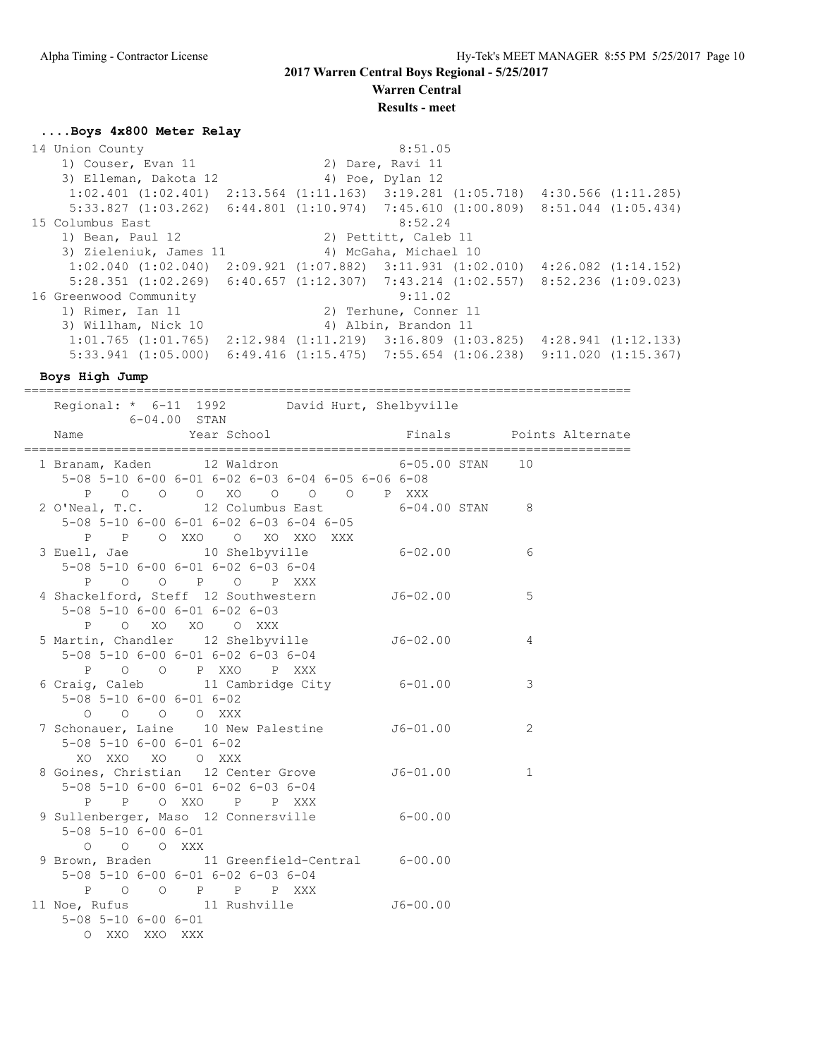**Warren Central Results - meet**

#### **....Boys 4x800 Meter Relay**

14 Union County 6:51.05 1) Couser, Evan 11 2) Dare, Ravi 11 3) Elleman, Dakota 12 (4) Poe, Dylan 12 1:02.401 (1:02.401) 2:13.564 (1:11.163) 3:19.281 (1:05.718) 4:30.566 (1:11.285) 5:33.827 (1:03.262) 6:44.801 (1:10.974) 7:45.610 (1:00.809) 8:51.044 (1:05.434) 15 Columbus East 8:52.24 1) Bean, Paul 12 2) Pettitt, Caleb 11 3) Zieleniuk, James 11 4) McGaha, Michael 10 1:02.040 (1:02.040) 2:09.921 (1:07.882) 3:11.931 (1:02.010) 4:26.082 (1:14.152) 5:28.351 (1:02.269) 6:40.657 (1:12.307) 7:43.214 (1:02.557) 8:52.236 (1:09.023) 16 Greenwood Community 9:11.02 1) Rimer, Ian 11 2) Terhune, Conner 11 3) Willham, Nick 10 4) Albin, Brandon 11 1:01.765 (1:01.765) 2:12.984 (1:11.219) 3:16.809 (1:03.825) 4:28.941 (1:12.133) 5:33.941 (1:05.000) 6:49.416 (1:15.475) 7:55.654 (1:06.238) 9:11.020 (1:15.367)

**Boys High Jump**

================================================================================= Regional: \* 6-11 1992 David Hurt, Shelbyville formation of the STAN School Game<br>Internal Star School Name Year School Finals Points Alternate ================================================================================= 1 Branam, Kaden 12 Waldron 6-05.00 STAN 10 5-08 5-10 6-00 6-01 6-02 6-03 6-04 6-05 6-06 6-08 P O O O XO O O O P XXX 2 O'Neal, T.C. 12 Columbus East 6-04.00 STAN 8 5-08 5-10 6-00 6-01 6-02 6-03 6-04 6-05 P P O XXO O XO XXO XXX  $3$  Euell, Jae  $10$  Shelbyville  $6-02.00$  6 5-08 5-10 6-00 6-01 6-02 6-03 6-04 P O O P O P XXX 4 Shackelford, Steff 12 Southwestern J6-02.00 5 5-08 5-10 6-00 6-01 6-02 6-03 P O XO XO O XXX 5 Martin, Chandler 12 Shelbyville J6-02.00 4 5-08 5-10 6-00 6-01 6-02 6-03 6-04 P O O P XXO P XXX 6 Craig, Caleb 11 Cambridge City 6-01.00 3 5-08 5-10 6-00 6-01 6-02 O O O O XXX 7 Schonauer, Laine 10 New Palestine J6-01.00 2 5-08 5-10 6-00 6-01 6-02 XO XXO XO O XXX 8 Goines, Christian 12 Center Grove 56-01.00 1 5-08 5-10 6-00 6-01 6-02 6-03 6-04 P P O XXO P P XXX 9 Sullenberger, Maso 12 Connersville 6-00.00 5-08 5-10 6-00 6-01 O O O XXX 9 Brown, Braden 11 Greenfield-Central 6-00.00 5-08 5-10 6-00 6-01 6-02 6-03 6-04 P O O P P P XXX 11 Noe, Rufus 11 Rushville 56-00.00 5-08 5-10 6-00 6-01 O XXO XXO XXX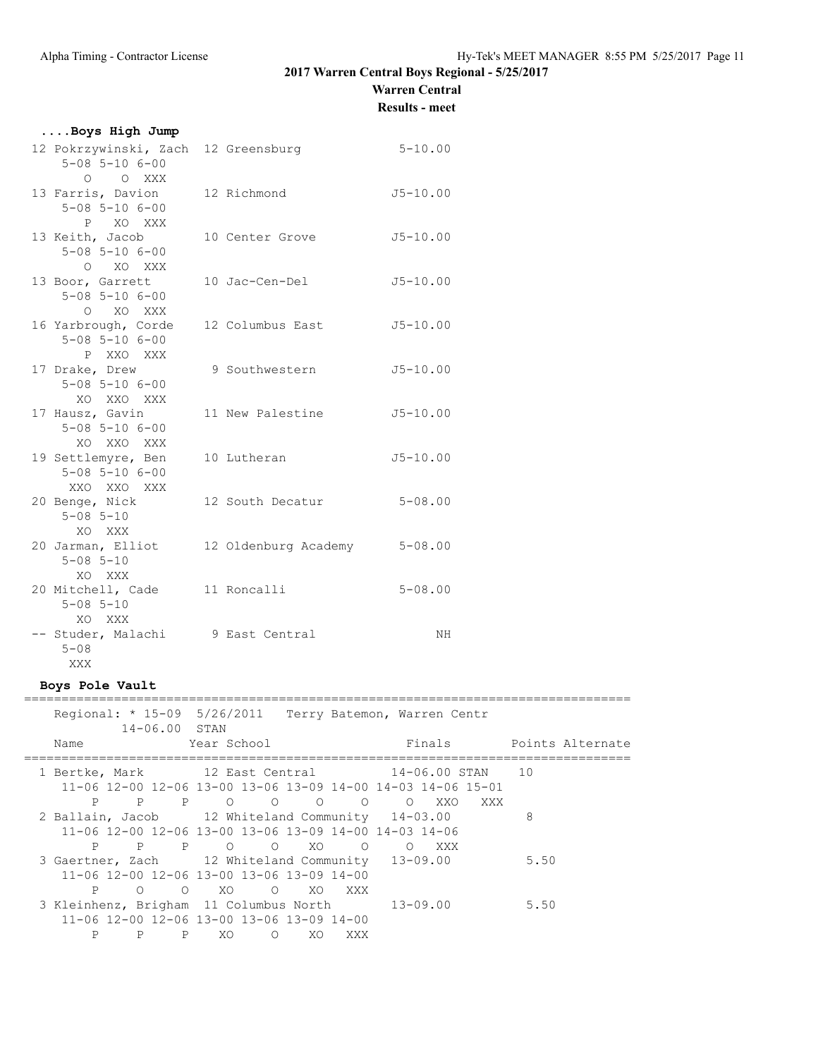### **Warren Central**

**Results - meet**

| Boys High Jump                                                               |                  |                                     |  |
|------------------------------------------------------------------------------|------------------|-------------------------------------|--|
| 12 Pokrzywinski, Zach 12 Greensburg<br>$5 - 08$ $5 - 10$ $6 - 00$<br>O O XXX |                  | $5 - 10.00$                         |  |
| 13 Farris, Davion<br>$5 - 08$ $5 - 10$ $6 - 00$<br>P XO XXX                  | 12 Richmond      | $J5 - 10.00$                        |  |
| 13 Keith, Jacob<br>$5 - 08$ $5 - 10$ $6 - 00$<br>O XO XXX                    | 10 Center Grove  | $J5 - 10.00$                        |  |
| 13 Boor, Garrett<br>$5 - 08$ $5 - 10$ $6 - 00$<br>O XO XXX                   | 10 Jac-Cen-Del   | $J5 - 10.00$                        |  |
| 16 Yarbrough, Corde<br>$5 - 08$ $5 - 10$ $6 - 00$<br>P XXO XXX               | 12 Columbus East | $J5 - 10.00$                        |  |
| 17 Drake, Drew<br>$5 - 08$ $5 - 10$ $6 - 00$<br>XO XXO XXX                   | 9 Southwestern   | $J5 - 10.00$                        |  |
| 17 Hausz, Gavin<br>$5 - 08$ $5 - 10$ $6 - 00$<br>XO XXO XXX                  | 11 New Palestine | $J5 - 10.00$                        |  |
| 19 Settlemyre, Ben<br>$5 - 08$ $5 - 10$ $6 - 00$<br>XXO XXO XXX              | 10 Lutheran      | $J5 - 10.00$                        |  |
| 20 Benge, Nick<br>$5 - 08$ $5 - 10$<br>XO XXX                                | 12 South Decatur | $5 - 08.00$                         |  |
| 20 Jarman, Elliot<br>$5 - 08$ $5 - 10$<br>XO XXX                             |                  | 12 Oldenburg Academy<br>$5 - 08.00$ |  |
| 20 Mitchell, Cade 11 Roncalli<br>$5 - 08$ $5 - 10$<br>XO XXX                 |                  | $5 - 08.00$                         |  |
| -- Studer, Malachi 9 East Central<br>$5 - 08$<br>XXX                         |                  | NH                                  |  |

### **Boys Pole Vault**

| Regional: * 15-09 5/26/2011 Terry Batemon, Warren Centr                         | $14 - 06.00$ STAN |             |         |                |                |                                     |       |     |      |                         |
|---------------------------------------------------------------------------------|-------------------|-------------|---------|----------------|----------------|-------------------------------------|-------|-----|------|-------------------------|
| Name                                                                            |                   | Year School |         |                |                |                                     |       |     |      | Finals Points Alternate |
| 1 Bertke, Mark 12 East Central 14-06.00 STAN 10                                 |                   |             |         |                |                |                                     |       |     |      |                         |
| $11-06$ $12-00$ $12-06$ $13-00$ $13-06$ $13-09$ $14-00$ $14-03$ $14-06$ $15-01$ |                   |             |         |                |                |                                     |       |     |      |                         |
| $\mathbf{P}$                                                                    | P                 | P 0 0       |         | $\overline{a}$ | $\overline{O}$ | $\Omega$                            | XXO   | XXX |      |                         |
| 2 Ballain, Jacob 12 Whiteland Community 14-03.00                                |                   |             |         |                |                |                                     |       |     | 8    |                         |
| $11-06$ 12-00 12-06 13-00 13-06 13-09 14-00 14-03 14-06                         |                   |             |         |                |                |                                     |       |     |      |                         |
| P                                                                               | P P O O XO        |             |         |                |                | $\begin{matrix} 0 & 0 \end{matrix}$ | XXX X |     |      |                         |
| 3 Gaertner, Zach 12 Whiteland Community 13-09.00                                |                   |             |         |                |                |                                     |       |     | 5.50 |                         |
| $11 - 06$ $12 - 00$ $12 - 06$ $13 - 00$ $13 - 06$ $13 - 09$ $14 - 00$           |                   |             |         |                |                |                                     |       |     |      |                         |
| P                                                                               | O O XO O XO XXX   |             |         |                |                |                                     |       |     |      |                         |
| 3 Kleinhenz, Brigham 11 Columbus North 13-09.00                                 |                   |             |         |                |                |                                     |       |     | 5.50 |                         |
| $11 - 06$ $12 - 00$ $12 - 06$ $13 - 00$ $13 - 06$ $13 - 09$ $14 - 00$           |                   |             |         |                |                |                                     |       |     |      |                         |
| $\mathsf{P}$                                                                    | P<br>P            | XO.         | $\circ$ | XO.            | XXX            |                                     |       |     |      |                         |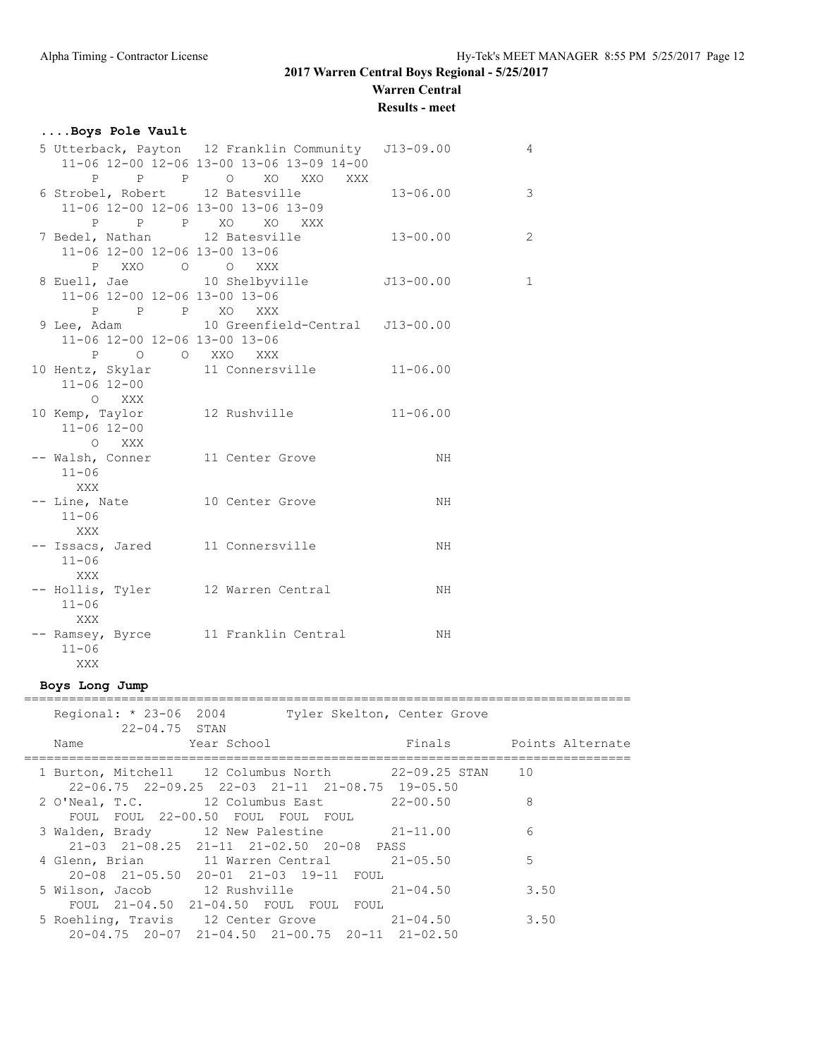**Warren Central**

**Results - meet**

### **....Boys Pole Vault**

|                     |       | 5 Utterback, Payton 12 Franklin Community J13-09.00 |               | 4              |
|---------------------|-------|-----------------------------------------------------|---------------|----------------|
|                     |       | 11-06 12-00 12-06 13-00 13-06 13-09 14-00           |               |                |
|                     |       | P P P O XO XXO XXX                                  |               |                |
|                     |       | 6 Strobel, Robert 12 Batesville                     | $13 - 06.00$  | 3              |
|                     |       | 11-06 12-00 12-06 13-00 13-06 13-09                 |               |                |
|                     |       | P P P XO XO XXX                                     |               |                |
|                     |       | 7 Bedel, Nathan 12 Batesville                       | $13 - 00.00$  | $\overline{2}$ |
|                     |       | 11-06 12-00 12-06 13-00 13-06                       |               |                |
|                     |       | P XXO O O XXX                                       |               |                |
|                     |       | 8 Euell, Jae 10 Shelbyville                         | $J13 - 00.00$ | $\mathbf 1$    |
|                     |       | 11-06 12-00 12-06 13-00 13-06                       |               |                |
|                     |       | P P P XO XXX                                        |               |                |
|                     |       | 9 Lee, Adam 10 Greenfield-Central J13-00.00         |               |                |
|                     |       | 11-06 12-00 12-06 13-00 13-06                       |               |                |
|                     |       | P O O XXO XXX                                       |               |                |
|                     |       | 10 Hentz, Skylar 11 Connersville                    | $11 - 06.00$  |                |
| 11-06 12-00         |       |                                                     |               |                |
|                     | O XXX |                                                     |               |                |
|                     |       | 10 Kemp, Taylor 12 Rushville                        | $11 - 06.00$  |                |
| $11 - 06$ $12 - 00$ |       |                                                     |               |                |
|                     | O XXX |                                                     |               |                |
|                     |       | -- Walsh, Conner 11 Center Grove                    | NH.           |                |
| $11 - 06$           |       |                                                     |               |                |
| <b>XXX</b>          |       |                                                     |               |                |
|                     |       | -- Line, Nate 10 Center Grove                       | NH            |                |
| $11 - 06$           |       |                                                     |               |                |
| <b>XXX</b>          |       |                                                     |               |                |
|                     |       | -- Issacs, Jared 11 Connersville                    | NH            |                |
| $11 - 06$           |       |                                                     |               |                |
| <b>XXX</b>          |       |                                                     |               |                |
|                     |       | -- Hollis, Tyler 12 Warren Central                  | NH.           |                |
| $11 - 06$           |       |                                                     |               |                |
| <b>XXX</b>          |       |                                                     |               |                |
|                     |       | -- Ramsey, Byrce 11 Franklin Central                | NH            |                |
| $11 - 06$           |       |                                                     |               |                |
| XXX                 |       |                                                     |               |                |

### **Boys Long Jump**

| Regional: * 23-06 2004<br>Tyler Skelton, Center Grove<br>$22 - 04.75$ STAN                                                       |                         |
|----------------------------------------------------------------------------------------------------------------------------------|-------------------------|
| Year School<br>Name <b>contract the Name of Street</b>                                                                           | Finals Points Alternate |
| 1 Burton, Mitchell 12 Columbus North 22-09.25 STAN 10<br>$22 - 06.75$ $22 - 09.25$ $22 - 03$ $21 - 11$ $21 - 08.75$ $19 - 05.50$ |                         |
| 2 O'Neal, T.C. 12 Columbus East 22-00.50<br>FOUL FOUL 22-00.50 FOUL FOUL FOUL                                                    | 8                       |
| 3 Walden, Brady 12 New Palestine 21-11.00<br>21-03 21-08.25 21-11 21-02.50 20-08 PASS                                            | 6                       |
| 4 Glenn, Brian 11 Warren Central 21-05.50<br>20-08 21-05.50 20-01 21-03 19-11 FOUL                                               | 5                       |
| 5 Wilson, Jacob 12 Rushville 21-04.50<br>FOUL 21-04.50 21-04.50 FOUL FOUL FOUL                                                   | 3.50                    |
| 5 Roehling, Travis 12 Center Grove 21-04.50<br>$20-04.75$ $20-07$ $21-04.50$ $21-00.75$ $20-11$ $21-02.50$                       | 3.50                    |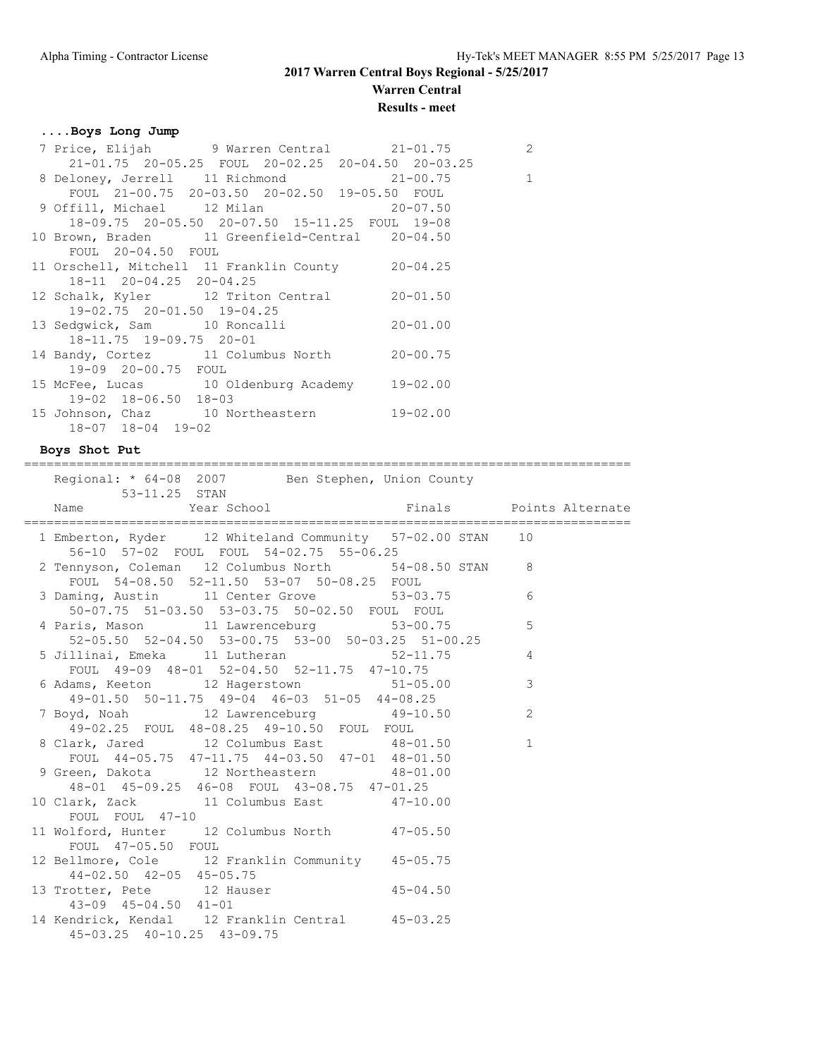# **Warren Central**

### **Results - meet**

### **....Boys Long Jump**

|                            | 7 Price, Elijah 9 Warren Central 21-01.75                   | 2 |
|----------------------------|-------------------------------------------------------------|---|
|                            | $21-01.75$ $20-05.25$ FOUL $20-02.25$ $20-04.50$ $20-03.25$ |   |
|                            | 8 Deloney, Jerrell 11 Richmond 21-00.75 1                   |   |
|                            | FOUL 21-00.75 20-03.50 20-02.50 19-05.50 FOUL               |   |
|                            | 9 Offill, Michael 12 Milan 20-07.50                         |   |
|                            | 18-09.75 20-05.50 20-07.50 15-11.25 FOUL 19-08              |   |
|                            | 10 Brown, Braden 11 Greenfield-Central 20-04.50             |   |
| FOUL 20-04.50 FOUL         |                                                             |   |
|                            | 11 Orschell, Mitchell 11 Franklin County 20-04.25           |   |
| 18-11 20-04.25 20-04.25    |                                                             |   |
|                            | 12 Schalk, Kyler 12 Triton Central 20-01.50                 |   |
| 19-02.75 20-01.50 19-04.25 |                                                             |   |
|                            | 13 Sedgwick, Sam 10 Roncalli 20-01.00                       |   |
| 18-11.75 19-09.75 20-01    |                                                             |   |
|                            | 14 Bandy, Cortez 11 Columbus North 20-00.75                 |   |
| 19-09 20-00.75 FOUL        |                                                             |   |
|                            | 15 McFee, Lucas 10 Oldenburg Academy 19-02.00               |   |
| 19-02 18-06.50 18-03       |                                                             |   |
|                            | 15 Johnson, Chaz 10 Northeastern 19-02.00                   |   |
| 18-07 18-04 19-02          |                                                             |   |

#### **Boys Shot Put**

Regional:  $*$  64-08 2007 Ben Stephen, Union County 53-11.25 STAN Name Year School Finals Points Alternate ================================================================================= 1 Emberton, Ryder 12 Whiteland Community 57-02.00 STAN 10 56-10 57-02 FOUL FOUL 54-02.75 55-06.25 2 Tennyson, Coleman 12 Columbus North 54-08.50 STAN 8 FOUL 54-08.50 52-11.50 53-07 50-08.25 FOUL 3 Daming, Austin 11 Center Grove 53-03.75 6 50-07.75 51-03.50 53-03.75 50-02.50 FOUL FOUL<br>4 Paris, Mason 11 Lawrenceburg 53-00.75 4 Paris, Mason 11 Lawrenceburg 53-00.75 5 52-05.50 52-04.50 53-00.75 53-00 50-03.25 51-00.25 5 Jillinai, Emeka 11 Lutheran 52-11.75 4 FOUL 49-09 48-01 52-04.50 52-11.75 47-10.75 6 Adams, Keeton 12 Hagerstown 51-05.00 3 49-01.50 50-11.75 49-04 46-03 51-05 44-08.25 7 Boyd, Noah 12 Lawrenceburg 49-10.50 2 49-02.25 FOUL 48-08.25 49-10.50 FOUL FOUL 8 Clark, Jared 12 Columbus East 48-01.50 1 FOUL 44-05.75 47-11.75 44-03.50 47-01 48-01.50 9 Green, Dakota 12 Northeastern 48-01.00 48-01 45-09.25 46-08 FOUL 43-08.75 47-01.25 10 Clark, Zack 11 Columbus East 47-10.00 FOUL FOUL 47-10 11 Wolford, Hunter 12 Columbus North 47-05.50 FOUL 47-05.50 FOUL 12 Bellmore, Cole 12 Franklin Community 45-05.75 44-02.50 42-05 45-05.75 13 Trotter, Pete 12 Hauser 45-04.50 43-09 45-04.50 41-01 14 Kendrick, Kendal 12 Franklin Central 45-03.25 45-03.25 40-10.25 43-09.75

=================================================================================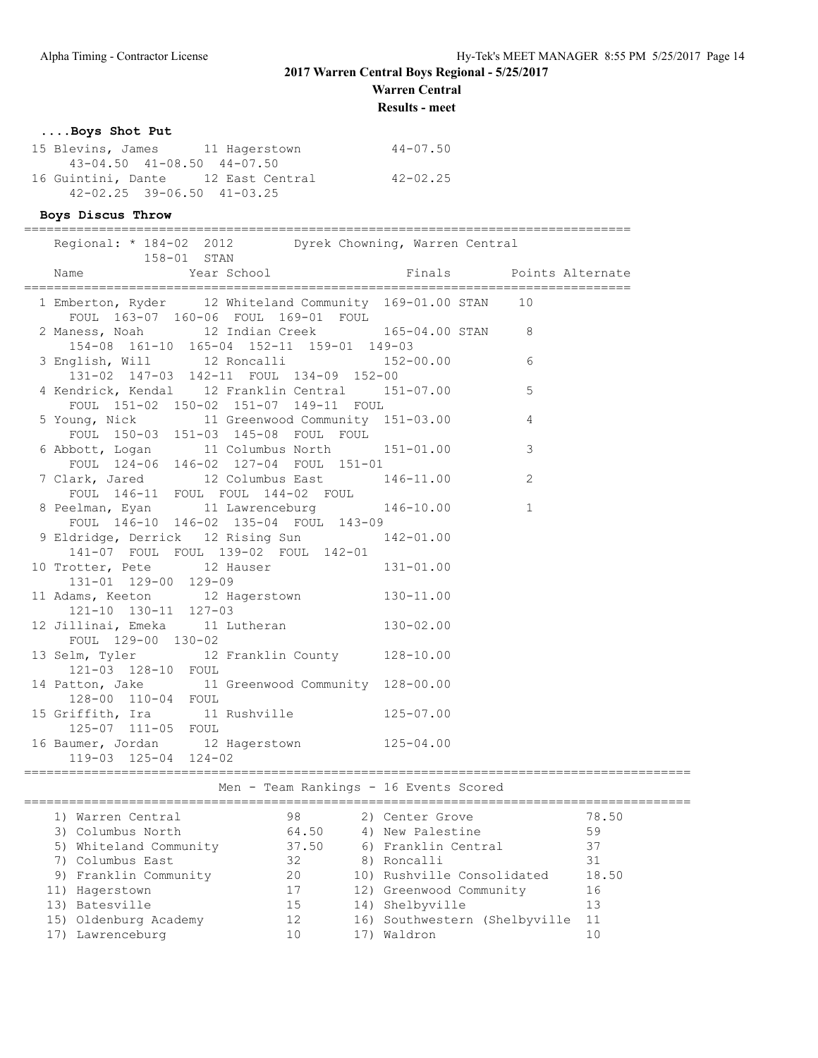**Warren Central**

**Results - meet**

### **....Boys Shot Put**

| 15 Blevins, James 11 Hagerstown        | $44 - 07.50$ |
|----------------------------------------|--------------|
| $43 - 04.50$ $41 - 08.50$ $44 - 07.50$ |              |
| 16 Guintini, Dante 12 East Central     | $42 - 02.25$ |
| $42 - 02.25$ $39 - 06.50$ $41 - 03.25$ |              |

### **Boys Discus Throw**

| Regional: * 184-02 2012 Dyrek Chowning, Warren Central<br>158-01 STAN                             |                |                         |
|---------------------------------------------------------------------------------------------------|----------------|-------------------------|
| 1999 - Maris School<br>1997 - Year School (Pinals Points Alternate)<br>Name                       |                |                         |
| 1 Emberton, Ryder 12 Whiteland Community 169-01.00 STAN 10<br>FOUL 163-07 160-06 FOUL 169-01 FOUL |                |                         |
| 2 Maness, Noah 12 Indian Creek 165-04.00 STAN 8<br>154-08 161-10 165-04 152-11 159-01 149-03      |                |                         |
| 3 English, Will $12$ Roncalli $152-00.00$ 6<br>131-02 147-03 142-11 FOUL 134-09 152-00            |                |                         |
| 4 Kendrick, Kendal 12 Franklin Central 151-07.00<br>FOUL 151-02 150-02 151-07 149-11 FOUL         | $\sim$ 5       |                         |
| 5 Young, Nick 11 Greenwood Community 151-03.00<br>FOUL 150-03 151-03 145-08 FOUL FOUL             | $\overline{4}$ |                         |
| 6 Abbott, Logan 11 Columbus North 151-01.00<br>FOUL 124-06 146-02 127-04 FOUL 151-01              |                | $\overline{\mathbf{3}}$ |
| 7 Clark, Jared 12 Columbus East 146-11.00<br>FOUL 146-11 FOUL FOUL 144-02 FOUL                    |                | 2                       |
| 8 Peelman, Eyan 11 Lawrenceburg 146-10.00<br>FOUL 146-10 146-02 135-04 FOUL 143-09                |                |                         |
| 9 Eldridge, Derrick 12 Rising Sun 142-01.00<br>141-07 FOUL FOUL 139-02 FOUL 142-01                |                |                         |
| 10 Trotter, Pete 12 Hauser 131-01.00<br>131-01 129-00 129-09                                      |                |                         |
| 11 Adams, Keeton 12 Hagerstown 130-11.00<br>121-10 130-11 127-03                                  |                |                         |
| 12 Jillinai, Emeka 11 Lutheran 130-02.00<br>FOUL 129-00 130-02                                    |                |                         |
| 13 Selm, Tyler 12 Franklin County 128-10.00<br>121-03 128-10 FOUL                                 |                |                         |
| 14 Patton, Jake 11 Greenwood Community 128-00.00<br>128-00 110-04 FOUL                            |                |                         |
| 125-07 111-05 FOUL                                                                                |                |                         |
| 16 Baumer, Jordan 12 Hagerstown 125-04.00<br>119-03 125-04 124-02                                 |                |                         |

# Men - Team Rankings - 16 Events Scored

| 1) Warren Central      | 98    | 2) Center Grove               | 78.50 |
|------------------------|-------|-------------------------------|-------|
| 3) Columbus North      | 64.50 | 4) New Palestine              | 59    |
| 5) Whiteland Community | 37.50 | 6) Franklin Central           | 37    |
| 7) Columbus East       | 32    | 8) Roncalli                   | 31    |
| 9) Franklin Community  | 20    | 10) Rushville Consolidated    | 18.50 |
| 11) Hagerstown         | 17    | 12) Greenwood Community       | 16    |
| 13) Batesville         | 15    | 14) Shelbyville               | 13    |
| 15) Oldenburg Academy  | 12    | 16) Southwestern (Shelbyville | 11    |
| Lawrenceburg           | 10    | 17) Waldron                   | 10    |